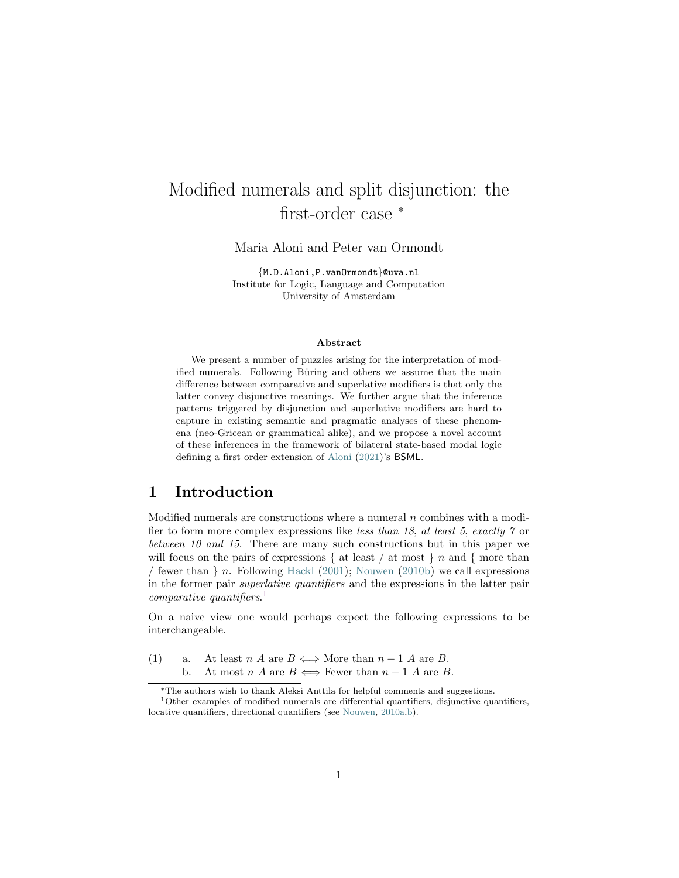# <span id="page-0-1"></span>Modified numerals and split disjunction: the first-order case  $*$

Maria Aloni and Peter van Ormondt

{M.D.Aloni,P.vanOrmondt}@uva.nl Institute for Logic, Language and Computation University of Amsterdam

#### Abstract

We present a number of puzzles arising for the interpretation of modified numerals. Following Büring and others we assume that the main difference between comparative and superlative modifiers is that only the latter convey disjunctive meanings. We further argue that the inference patterns triggered by disjunction and superlative modifiers are hard to capture in existing semantic and pragmatic analyses of these phenomena (neo-Gricean or grammatical alike), and we propose a novel account of these inferences in the framework of bilateral state-based modal logic defining a first order extension of [Aloni](#page-29-0) [\(2021\)](#page-29-0)'s BSML.

# 1 Introduction

Modified numerals are constructions where a numeral  $n$  combines with a modifier to form more complex expressions like less than 18, at least 5, exactly 7 or between 10 and 15. There are many such constructions but in this paper we will focus on the pairs of expressions  $\{$  at least  $\}$  at most  $\}$  n and  $\{$  more than / fewer than  $\}$  n. Following [Hackl](#page-31-0) [\(2001\)](#page-31-0); [Nouwen](#page-32-0) [\(2010b\)](#page-32-0) we call expressions in the former pair superlative quantifiers and the expressions in the latter pair comparative quantifiers. [1](#page-0-0)

On a naive view one would perhaps expect the following expressions to be interchangeable.

(1) a. At least n A are  $B \iff$  More than  $n-1$  A are B. b. At most  $n A$  are  $B \iff$  Fewer than  $n-1 A$  are B.

<span id="page-0-0"></span><sup>∗</sup>The authors wish to thank Aleksi Anttila for helpful comments and suggestions.  $1$ Other examples of modified numerals are differential quantifiers, disjunctive quantifiers,

locative quantifiers, directional quantifiers (see [Nouwen,](#page-32-1) [2010a,](#page-32-1)[b\)](#page-32-0).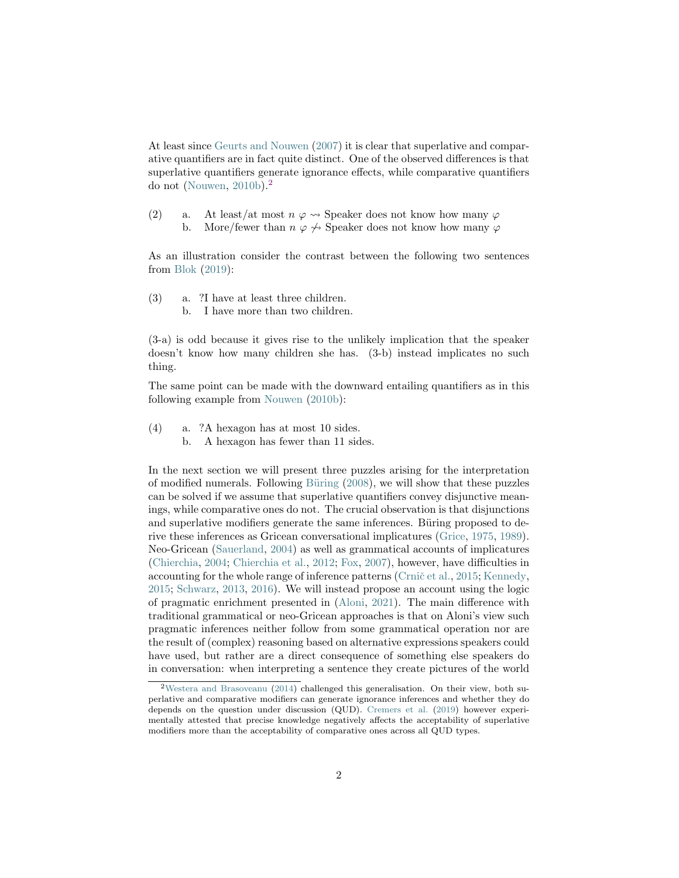<span id="page-1-3"></span>At least since [Geurts and Nouwen](#page-31-1) [\(2007\)](#page-31-1) it is clear that superlative and comparative quantifiers are in fact quite distinct. One of the observed differences is that superlative quantifiers generate ignorance effects, while comparative quantifiers do not [\(Nouwen,](#page-32-0)  $2010<sub>b</sub>$  $2010<sub>b</sub>$ ).<sup>2</sup>

- (2) a. At least/at most  $n \varphi \rightsquigarrow$  Speaker does not know how many  $\varphi$ 
	- b. More/fewer than  $n \varphi \nleftrightarrow$  Speaker does not know how many  $\varphi$

As an illustration consider the contrast between the following two sentences from [Blok](#page-29-1) [\(2019\)](#page-29-1):

<span id="page-1-1"></span>(3) a. ?I have at least three children. b. I have more than two children.

(3-a) is odd because it gives rise to the unlikely implication that the speaker doesn't know how many children she has. (3-b) instead implicates no such thing.

The same point can be made with the downward entailing quantifiers as in this following example from [Nouwen](#page-32-0) [\(2010b\)](#page-32-0):

- <span id="page-1-2"></span>(4) a. ?A hexagon has at most 10 sides.
	- b. A hexagon has fewer than 11 sides.

In the next section we will present three puzzles arising for the interpretation of modified numerals. Following Büring  $(2008)$ , we will show that these puzzles can be solved if we assume that superlative quantifiers convey disjunctive meanings, while comparative ones do not. The crucial observation is that disjunctions and superlative modifiers generate the same inferences. Büring proposed to derive these inferences as Gricean conversational implicatures [\(Grice,](#page-31-2) [1975,](#page-31-2) [1989\)](#page-31-3). Neo-Gricean [\(Sauerland,](#page-32-2) [2004\)](#page-32-2) as well as grammatical accounts of implicatures [\(Chierchia,](#page-29-3) [2004;](#page-29-3) [Chierchia et al.,](#page-30-0) [2012;](#page-30-0) [Fox,](#page-31-4) [2007\)](#page-31-4), however, have difficulties in accounting for the whole range of inference patterns (Crnic̆ et al., [2015;](#page-30-1) [Kennedy,](#page-32-3) [2015;](#page-32-3) [Schwarz,](#page-32-4) [2013,](#page-32-4) [2016\)](#page-32-5). We will instead propose an account using the logic of pragmatic enrichment presented in [\(Aloni,](#page-29-0) [2021\)](#page-29-0). The main difference with traditional grammatical or neo-Gricean approaches is that on Aloni's view such pragmatic inferences neither follow from some grammatical operation nor are the result of (complex) reasoning based on alternative expressions speakers could have used, but rather are a direct consequence of something else speakers do in conversation: when interpreting a sentence they create pictures of the world

<span id="page-1-0"></span><sup>2</sup>[Westera and Brasoveanu](#page-33-0) [\(2014\)](#page-33-0) challenged this generalisation. On their view, both superlative and comparative modifiers can generate ignorance inferences and whether they do depends on the question under discussion (QUD). [Cremers et al.](#page-30-2) [\(2019\)](#page-30-2) however experimentally attested that precise knowledge negatively affects the acceptability of superlative modifiers more than the acceptability of comparative ones across all QUD types.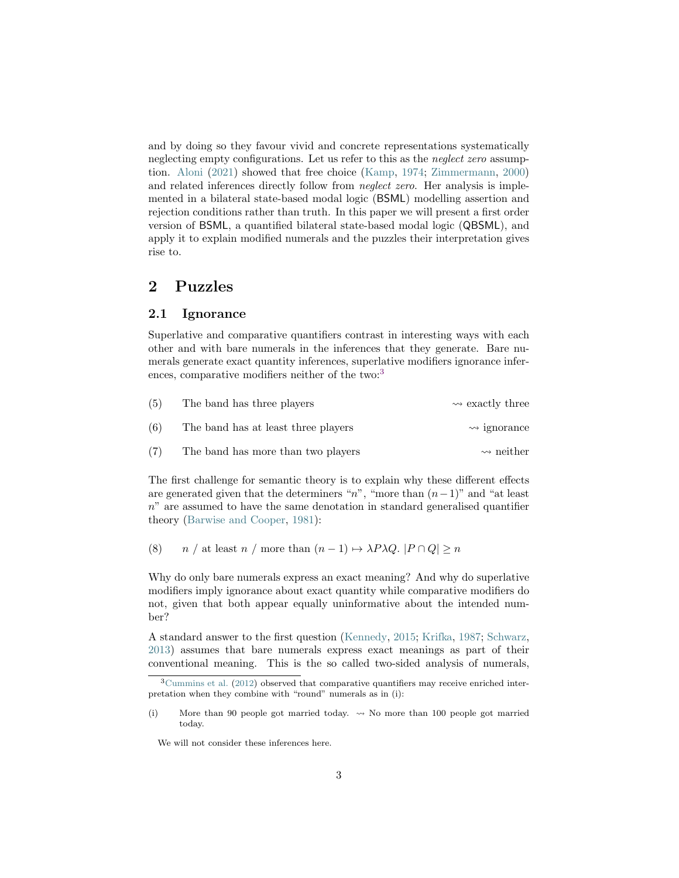<span id="page-2-2"></span>and by doing so they favour vivid and concrete representations systematically neglecting empty configurations. Let us refer to this as the neglect zero assumption. [Aloni](#page-29-0) [\(2021\)](#page-29-0) showed that free choice [\(Kamp,](#page-31-5) [1974;](#page-31-5) [Zimmermann,](#page-33-1) [2000\)](#page-33-1) and related inferences directly follow from *neglect zero*. Her analysis is implemented in a bilateral state-based modal logic (BSML) modelling assertion and rejection conditions rather than truth. In this paper we will present a first order version of BSML, a quantified bilateral state-based modal logic (QBSML), and apply it to explain modified numerals and the puzzles their interpretation gives rise to.

# <span id="page-2-1"></span>2 Puzzles

### 2.1 Ignorance

Superlative and comparative quantifiers contrast in interesting ways with each other and with bare numerals in the inferences that they generate. Bare numerals generate exact quantity inferences, superlative modifiers ignorance infer-ences, comparative modifiers neither of the two:<sup>[3](#page-2-0)</sup>

| (5) | The band has three players          | $\rightsquigarrow$ exactly three |
|-----|-------------------------------------|----------------------------------|
| (6) | The band has at least three players | $\rightsquigarrow$ ignorance     |
| (7) | The band has more than two players  | $\rightsquigarrow$ neither       |

The first challenge for semantic theory is to explain why these different effects are generated given that the determiners "n", "more than  $(n-1)$ " and "at least  $n$ " are assumed to have the same denotation in standard generalised quantifier theory [\(Barwise and Cooper,](#page-29-4) [1981\)](#page-29-4):

(8)  $n /$  at least  $n /$  more than  $(n - 1) \mapsto \lambda P \lambda Q$ .  $|P \cap Q| \ge n$ 

Why do only bare numerals express an exact meaning? And why do superlative modifiers imply ignorance about exact quantity while comparative modifiers do not, given that both appear equally uninformative about the intended number?

A standard answer to the first question [\(Kennedy,](#page-32-3) [2015;](#page-32-3) [Krifka,](#page-32-6) [1987;](#page-32-6) [Schwarz,](#page-32-4) [2013\)](#page-32-4) assumes that bare numerals express exact meanings as part of their conventional meaning. This is the so called two-sided analysis of numerals,

We will not consider these inferences here.

<span id="page-2-0"></span> $3$ [Cummins et al.](#page-30-3) [\(2012\)](#page-30-3) observed that comparative quantifiers may receive enriched interpretation when they combine with "round" numerals as in (i):

<sup>(</sup>i) More than 90 people got married today.  $\sim$  No more than 100 people got married today.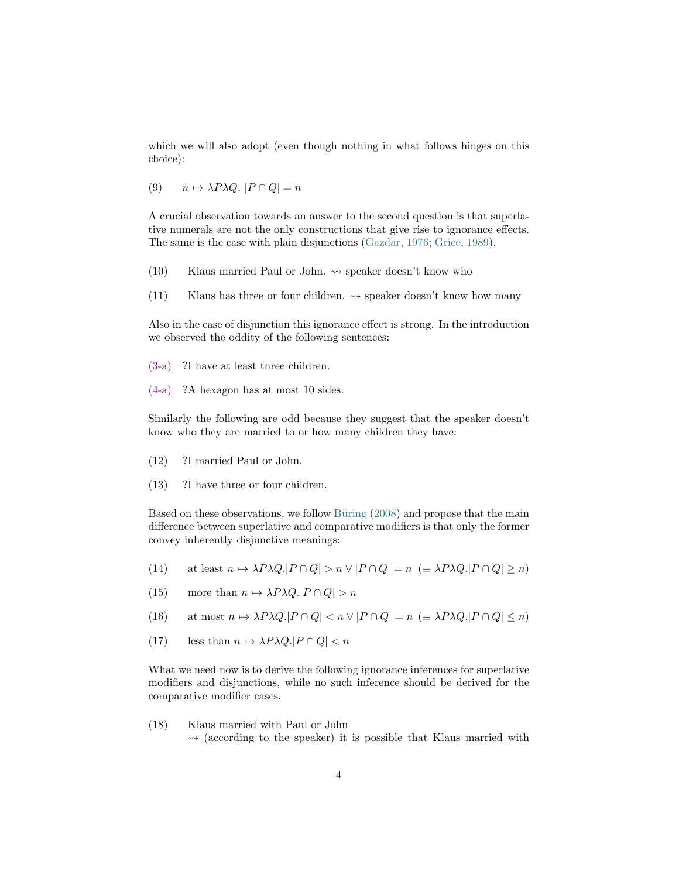<span id="page-3-0"></span>which we will also adopt (even though nothing in what follows hinges on this choice):

(9)  $n \mapsto \lambda P \lambda Q$ .  $|P \cap Q| = n$ 

A crucial observation towards an answer to the second question is that superlative numerals are not the only constructions that give rise to ignorance effects. The same is the case with plain disjunctions [\(Gazdar,](#page-31-6) [1976;](#page-31-6) [Grice,](#page-31-3) [1989\)](#page-31-3).

- (10) Klaus married Paul or John.  $\rightsquigarrow$  speaker doesn't know who
- (11) Klaus has three or four children.  $\rightsquigarrow$  speaker doesn't know how many

Also in the case of disjunction this ignorance effect is strong. In the introduction we observed the oddity of the following sentences:

- [\(3-a\)](#page-1-1) ?I have at least three children.
- [\(4-a\)](#page-1-2) ?A hexagon has at most 10 sides.

Similarly the following are odd because they suggest that the speaker doesn't know who they are married to or how many children they have:

- (12) ?I married Paul or John.
- (13) ?I have three or four children.

Based on these observations, we follow Büring [\(2008\)](#page-29-2) and propose that the main difference between superlative and comparative modifiers is that only the former convey inherently disjunctive meanings:

- (14) at least  $n \mapsto \lambda P \lambda Q$ . $|P \cap Q| > n \vee |P \cap Q| = n$  ( $\equiv \lambda P \lambda Q$ . $|P \cap Q| > n$ )
- (15) more than  $n \mapsto \lambda P \lambda Q$ . $|P \cap Q| > n$

(16) at most  $n \mapsto \lambda P \lambda Q$ . $|P \cap Q| < n \vee |P \cap Q| = n$  ( $\equiv \lambda P \lambda Q$ . $|P \cap Q| \leq n$ )

(17) less than  $n \mapsto \lambda P \lambda Q$ .| $P \cap Q$ | < n

What we need now is to derive the following ignorance inferences for superlative modifiers and disjunctions, while no such inference should be derived for the comparative modifier cases.

(18) Klaus married with Paul or John  $\rightsquigarrow$  (according to the speaker) it is possible that Klaus married with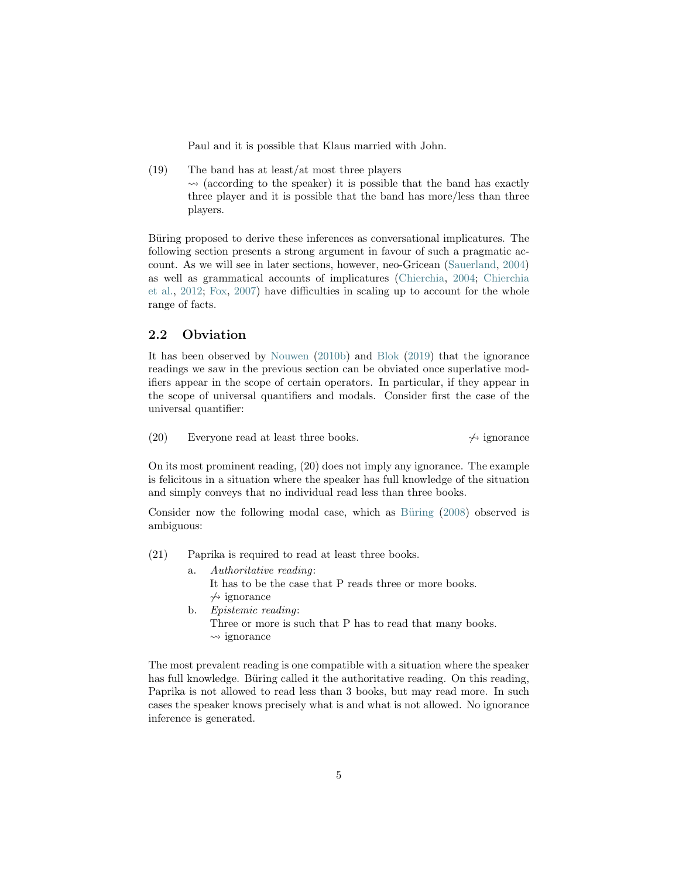<span id="page-4-0"></span>Paul and it is possible that Klaus married with John.

(19) The band has at least/at most three players  $\rightsquigarrow$  (according to the speaker) it is possible that the band has exactly three player and it is possible that the band has more/less than three players.

Büring proposed to derive these inferences as conversational implicatures. The following section presents a strong argument in favour of such a pragmatic account. As we will see in later sections, however, neo-Gricean [\(Sauerland,](#page-32-2) [2004\)](#page-32-2) as well as grammatical accounts of implicatures [\(Chierchia,](#page-29-3) [2004;](#page-29-3) [Chierchia](#page-30-0) [et al.,](#page-30-0) [2012;](#page-30-0) [Fox,](#page-31-4) [2007\)](#page-31-4) have difficulties in scaling up to account for the whole range of facts.

## 2.2 Obviation

It has been observed by [Nouwen](#page-32-0) [\(2010b\)](#page-32-0) and [Blok](#page-29-1) [\(2019\)](#page-29-1) that the ignorance readings we saw in the previous section can be obviated once superlative modifiers appear in the scope of certain operators. In particular, if they appear in the scope of universal quantifiers and modals. Consider first the case of the universal quantifier:

(20) Everyone read at least three books.  $\rightarrow$  ignorance

On its most prominent reading, (20) does not imply any ignorance. The example is felicitous in a situation where the speaker has full knowledge of the situation and simply conveys that no individual read less than three books.

Consider now the following modal case, which as Büring [\(2008\)](#page-29-2) observed is ambiguous:

- (21) Paprika is required to read at least three books.
	- a. Authoritative reading: It has to be the case that P reads three or more books.  $\leftrightarrow$  ignorance
	- b. Epistemic reading: Three or more is such that P has to read that many books.  $\rightsquigarrow$  ignorance

The most prevalent reading is one compatible with a situation where the speaker has full knowledge. Büring called it the authoritative reading. On this reading, Paprika is not allowed to read less than 3 books, but may read more. In such cases the speaker knows precisely what is and what is not allowed. No ignorance inference is generated.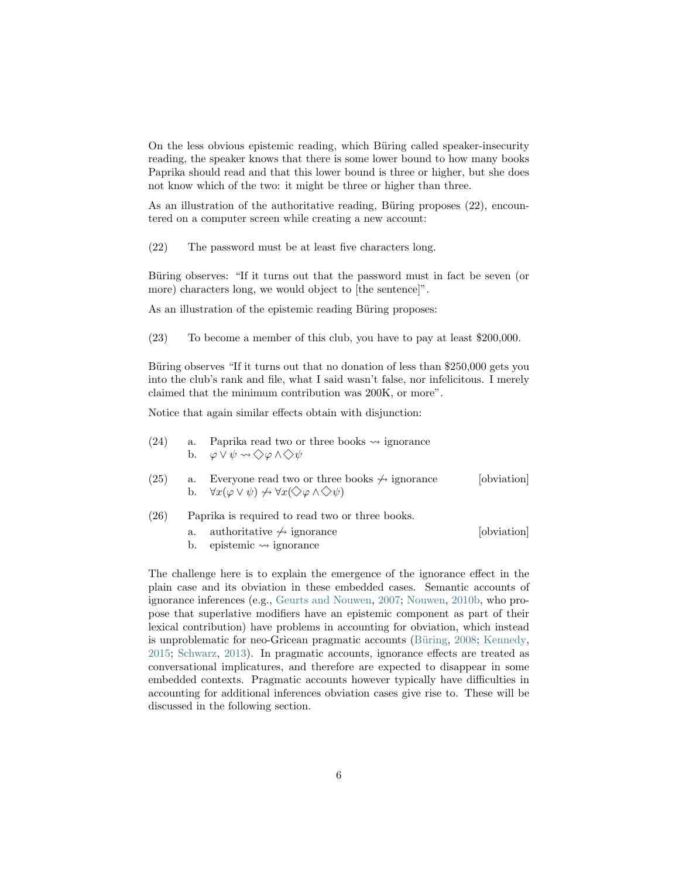<span id="page-5-0"></span>On the less obvious epistemic reading, which Büring called speaker-insecurity reading, the speaker knows that there is some lower bound to how many books Paprika should read and that this lower bound is three or higher, but she does not know which of the two: it might be three or higher than three.

As an illustration of the authoritative reading, Büring proposes (22), encountered on a computer screen while creating a new account:

(22) The password must be at least five characters long.

Büring observes: "If it turns out that the password must in fact be seven (or more) characters long, we would object to [the sentence]".

As an illustration of the epistemic reading Büring proposes:

(23) To become a member of this club, you have to pay at least \$200,000.

Büring observes "If it turns out that no donation of less than \$250,000 gets you into the club's rank and file, what I said wasn't false, nor infelicitous. I merely claimed that the minimum contribution was 200K, or more".

Notice that again similar effects obtain with disjunction:

| (24) | a. Paprika read two or three books $\rightsquigarrow$ ignorance                       |
|------|---------------------------------------------------------------------------------------|
|      | b. $\varphi \vee \psi \rightsquigarrow \diamondsuit \varphi \wedge \diamondsuit \psi$ |

- (25) a. Everyone read two or three books  $\frac{1}{\sqrt{2}}$  ignorance [obviation] b.  $\forall x(\varphi \vee \psi) \nleftrightarrow \forall x(\Diamond \varphi \wedge \Diamond \psi)$
- (26) Paprika is required to read two or three books.
	- a. authoritative  $\leftrightarrow$  ignorance [obviation]
	- b. epistemic  $\rightsquigarrow$  ignorance

The challenge here is to explain the emergence of the ignorance effect in the plain case and its obviation in these embedded cases. Semantic accounts of ignorance inferences (e.g., [Geurts and Nouwen,](#page-31-1) [2007;](#page-31-1) [Nouwen,](#page-32-0) [2010b,](#page-32-0) who propose that superlative modifiers have an epistemic component as part of their lexical contribution) have problems in accounting for obviation, which instead is unproblematic for neo-Gricean pragmatic accounts (Büring, [2008;](#page-29-2) [Kennedy,](#page-32-3) [2015;](#page-32-3) [Schwarz,](#page-32-4) [2013\)](#page-32-4). In pragmatic accounts, ignorance effects are treated as conversational implicatures, and therefore are expected to disappear in some embedded contexts. Pragmatic accounts however typically have difficulties in accounting for additional inferences obviation cases give rise to. These will be discussed in the following section.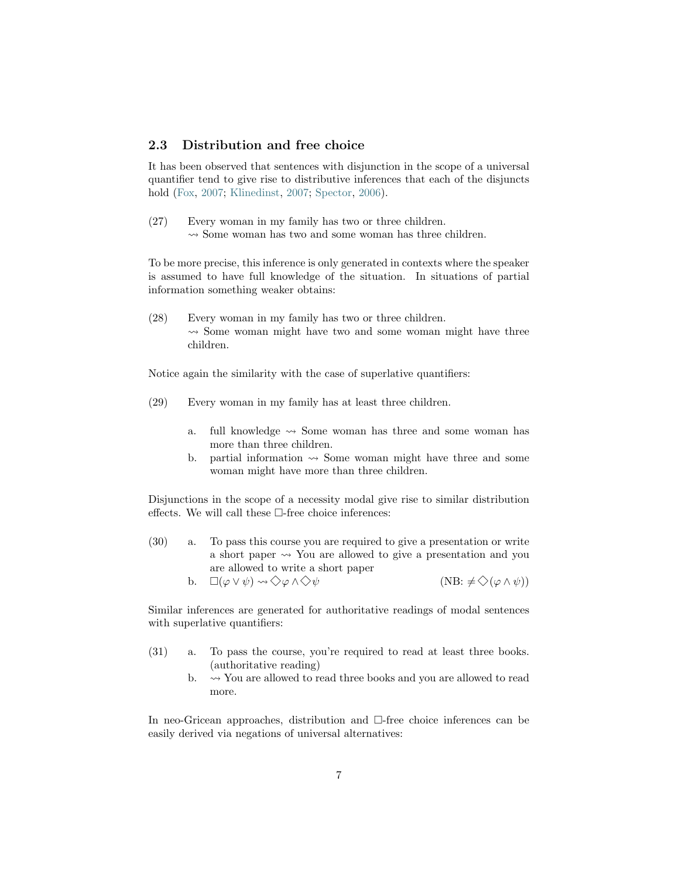### <span id="page-6-0"></span>2.3 Distribution and free choice

It has been observed that sentences with disjunction in the scope of a universal quantifier tend to give rise to distributive inferences that each of the disjuncts hold [\(Fox,](#page-31-4) [2007;](#page-31-4) [Klinedinst,](#page-32-7) [2007;](#page-32-7) [Spector,](#page-32-8) [2006\)](#page-32-8).

(27) Every woman in my family has two or three children.  $\rightsquigarrow$  Some woman has two and some woman has three children.

To be more precise, this inference is only generated in contexts where the speaker is assumed to have full knowledge of the situation. In situations of partial information something weaker obtains:

(28) Every woman in my family has two or three children.  $\rightarrow$  Some woman might have two and some woman might have three children.

Notice again the similarity with the case of superlative quantifiers:

- (29) Every woman in my family has at least three children.
	- a. full knowledge  $\rightsquigarrow$  Some woman has three and some woman has more than three children.
	- b. partial information  $\rightsquigarrow$  Some woman might have three and some woman might have more than three children.

Disjunctions in the scope of a necessity modal give rise to similar distribution effects. We will call these  $\Box$ -free choice inferences:

- (30) a. To pass this course you are required to give a presentation or write a short paper  $\rightsquigarrow$  You are allowed to give a presentation and you are allowed to write a short paper
	- b.  $\square(\varphi \vee \psi) \rightsquigarrow \diamondsuit \varphi \wedge \diamondsuit \psi$  (NB:  $\neq \diamondsuit(\varphi \wedge \psi)$ )

Similar inferences are generated for authoritative readings of modal sentences with superlative quantifiers:

- (31) a. To pass the course, you're required to read at least three books. (authoritative reading)
	- b.  $\rightarrow$  You are allowed to read three books and you are allowed to read more.

In neo-Gricean approaches, distribution and □-free choice inferences can be easily derived via negations of universal alternatives: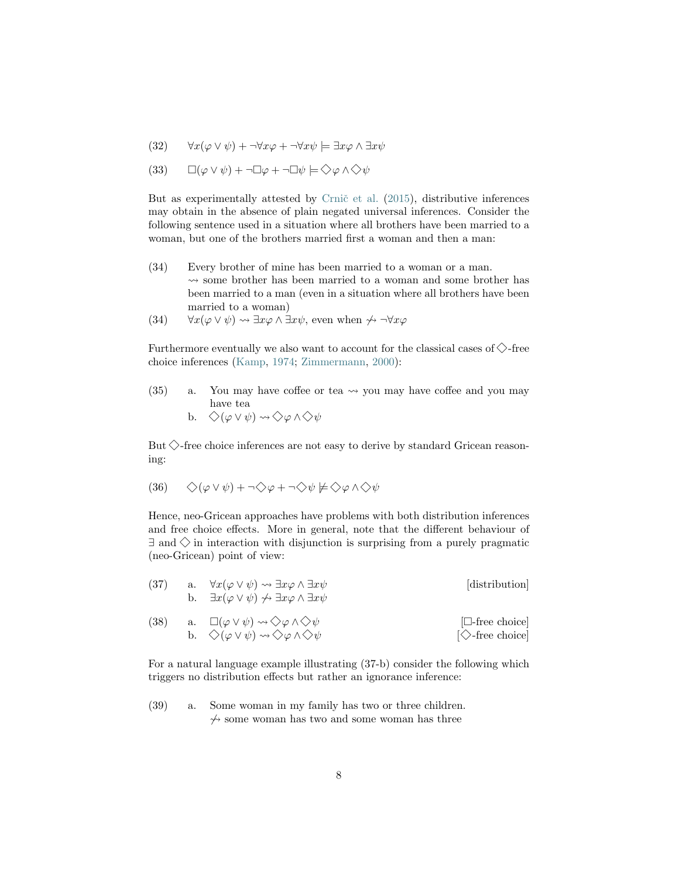<span id="page-7-0"></span>(32) 
$$
\forall x(\varphi \lor \psi) + \neg \forall x \varphi + \neg \forall x \psi \models \exists x \varphi \land \exists x \psi
$$

(33) 
$$
\Box(\varphi \vee \psi) + \neg \Box \varphi + \neg \Box \psi \models \Diamond \varphi \wedge \Diamond \psi
$$

But as experimentally attested by Crnic̆ et al.  $(2015)$ , distributive inferences may obtain in the absence of plain negated universal inferences. Consider the following sentence used in a situation where all brothers have been married to a woman, but one of the brothers married first a woman and then a man:

- (34) Every brother of mine has been married to a woman or a man.  $\rightarrow$  some brother has been married to a woman and some brother has been married to a man (even in a situation where all brothers have been married to a woman)
- (34)  $\forall x(\varphi \lor \psi) \leadsto \exists x \varphi \land \exists x \psi$ , even when  $\not\leftrightarrow \neg \forall x \varphi$

Furthermore eventually we also want to account for the classical cases of  $\Diamond$ -free choice inferences [\(Kamp,](#page-31-5) [1974;](#page-31-5) [Zimmermann,](#page-33-1) [2000\)](#page-33-1):

(35) a. You may have coffee or tea  $\rightsquigarrow$  you may have coffee and you may have tea

b. 
$$
\diamondsuit(\varphi\vee\psi)\rightsquigarrow\diamondsuit\varphi\wedge\diamondsuit\psi
$$

But  $\Diamond$ -free choice inferences are not easy to derive by standard Gricean reasoning:

$$
(36) \qquad \diamondsuit (\varphi \vee \psi) + \neg \diamondsuit \varphi + \neg \diamondsuit \psi \not\models \diamondsuit \varphi \wedge \diamondsuit \psi
$$

Hence, neo-Gricean approaches have problems with both distribution inferences and free choice effects. More in general, note that the different behaviour of  $\exists$  and  $\diamondsuit$  in interaction with disjunction is surprising from a purely pragmatic (neo-Gricean) point of view:

| (37) | a. | $\forall x(\varphi \vee \psi) \leadsto \exists x \varphi \wedge \exists x \psi$<br>b. $\exists x (\varphi \vee \psi) \not\rightsquigarrow \exists x \varphi \wedge \exists x \psi$        | [distribution]                                      |
|------|----|-------------------------------------------------------------------------------------------------------------------------------------------------------------------------------------------|-----------------------------------------------------|
| (38) |    | a. $\square(\varphi \vee \psi) \rightsquigarrow \diamondsuit \varphi \wedge \diamondsuit \psi$<br>b. $\Diamond(\varphi \vee \psi) \rightsquigarrow \Diamond \varphi \wedge \Diamond \psi$ | $\Box$ -free choice<br>$[\diamondsuit$ -free choice |

For a natural language example illustrating (37-b) consider the following which triggers no distribution effects but rather an ignorance inference:

(39) a. Some woman in my family has two or three children.  $\gamma$  some woman has two and some woman has three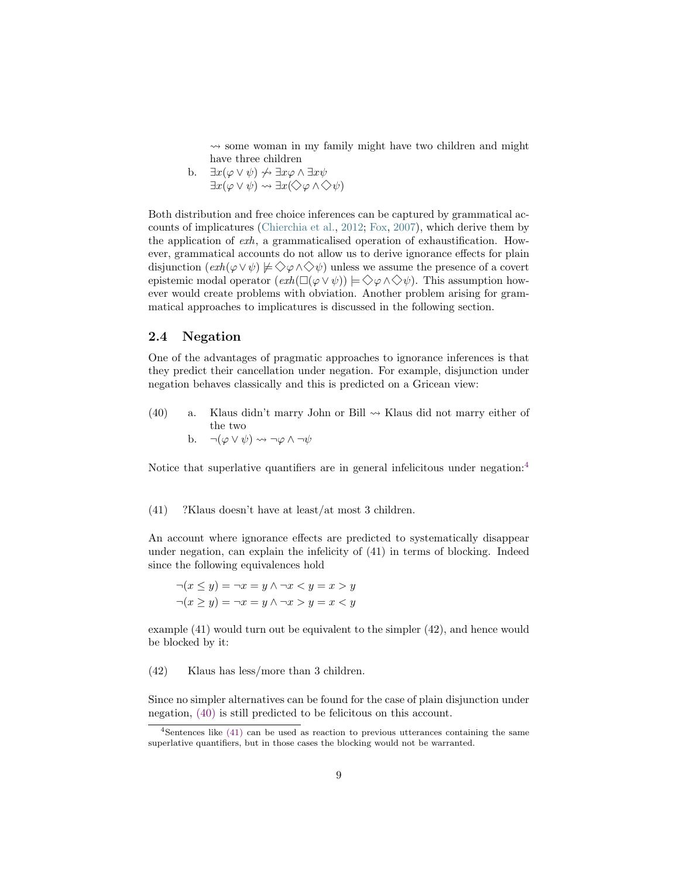<span id="page-8-4"></span> $\rightarrow$  some woman in my family might have two children and might have three children

b.  $\exists x(\varphi \vee \psi) \nleftrightarrow \exists x \varphi \wedge \exists x \psi$  $\exists x(\varphi \vee \psi) \rightsquigarrow \exists x (\Diamond \varphi \wedge \Diamond \psi)$ 

Both distribution and free choice inferences can be captured by grammatical accounts of implicatures [\(Chierchia et al.,](#page-30-0) [2012;](#page-30-0) [Fox,](#page-31-4) [2007\)](#page-31-4), which derive them by the application of exh, a grammaticalised operation of exhaustification. However, grammatical accounts do not allow us to derive ignorance effects for plain disjunction  $(\operatorname{exh}(\varphi \vee \psi) \not\models \Diamond \varphi \wedge \Diamond \psi)$  unless we assume the presence of a covert epistemic modal operator  $(\operatorname{exh}(\square(\varphi \vee \psi)) \models \Diamond \varphi \wedge \Diamond \psi)$ . This assumption however would create problems with obviation. Another problem arising for grammatical approaches to implicatures is discussed in the following section.

#### <span id="page-8-3"></span>2.4 Negation

One of the advantages of pragmatic approaches to ignorance inferences is that they predict their cancellation under negation. For example, disjunction under negation behaves classically and this is predicted on a Gricean view:

<span id="page-8-1"></span>(40) a. Klaus didn't marry John or Bill  $\rightsquigarrow$  Klaus did not marry either of the two b.  $\neg(\varphi \lor \psi) \rightsquigarrow \neg \varphi \land \neg \psi$ 

<span id="page-8-2"></span>Notice that superlative quantifiers are in general infelicitous under negation:[4](#page-8-0)

(41) ?Klaus doesn't have at least/at most 3 children.

An account where ignorance effects are predicted to systematically disappear under negation, can explain the infelicity of (41) in terms of blocking. Indeed since the following equivalences hold

$$
\neg(x \le y) = \neg x = y \land \neg x < y = x > y
$$
\n
$$
\neg(x \ge y) = \neg x = y \land \neg x > y = x < y
$$

example (41) would turn out be equivalent to the simpler (42), and hence would be blocked by it:

(42) Klaus has less/more than 3 children.

Since no simpler alternatives can be found for the case of plain disjunction under negation, [\(40\)](#page-8-1) is still predicted to be felicitous on this account.

<span id="page-8-0"></span> $4$ Sentences like [\(41\)](#page-8-2) can be used as reaction to previous utterances containing the same superlative quantifiers, but in those cases the blocking would not be warranted.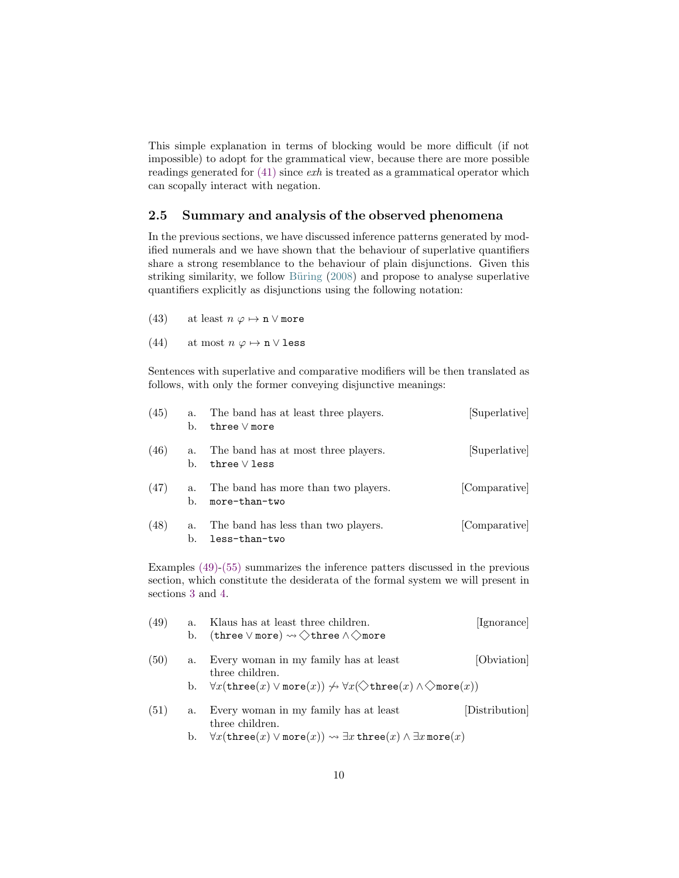<span id="page-9-5"></span>This simple explanation in terms of blocking would be more difficult (if not impossible) to adopt for the grammatical view, because there are more possible readings generated for [\(41\)](#page-8-2) since exh is treated as a grammatical operator which can scopally interact with negation.

#### <span id="page-9-4"></span>2.5 Summary and analysis of the observed phenomena

In the previous sections, we have discussed inference patterns generated by modified numerals and we have shown that the behaviour of superlative quantifiers share a strong resemblance to the behaviour of plain disjunctions. Given this striking similarity, we follow Büring [\(2008\)](#page-29-2) and propose to analyse superlative quantifiers explicitly as disjunctions using the following notation:

- (43) at least  $n \varphi \mapsto \mathbf{n} \vee \mathbf{more}$
- (44) at most  $n \varphi \mapsto \mathbf{n} \vee \mathbf{l}$ ess

Sentences with superlative and comparative modifiers will be then translated as follows, with only the former conveying disjunctive meanings:

| (45) | a.<br>b. | The band has at least three players.<br>three $\vee$ more | [Superlative] |
|------|----------|-----------------------------------------------------------|---------------|
| (46) | a.<br>b. | The band has at most three players.<br>three $\vee$ less  | [Superlative] |
| (47) | a.<br>b. | The band has more than two players.<br>more-than-two      | [Comparative] |
| (48) | a.<br>b. | The band has less than two players.<br>less-than-two      | [Comparative] |

Examples [\(49\)](#page-9-0)[-\(55\)](#page-10-0) summarizes the inference patters discussed in the previous section, which constitute the desiderata of the formal system we will present in sections [3](#page-10-1) and [4.](#page-13-0)

<span id="page-9-3"></span><span id="page-9-2"></span><span id="page-9-1"></span><span id="page-9-0"></span>

| (49) | а.<br>b. | Klaus has at least three children.<br>(three $\vee$ more) $\rightsquigarrow \diamondsuit$ three $\wedge \diamondsuit$ more                              | [Ignorance]  |
|------|----------|---------------------------------------------------------------------------------------------------------------------------------------------------------|--------------|
| (50) | a.       | Every woman in my family has at least<br>three children.                                                                                                | [Obviation]  |
|      | b.       | $\forall x(\texttt{three}(x) \lor \texttt{more}(x)) \not\rightsquigarrow \forall x(\diamondsuit \texttt{three}(x) \land \diamondsuit \texttt{more}(x))$ |              |
| (51) | a.       | Every woman in my family has at least<br>three children.                                                                                                | Distribution |
|      | b.       | $\forall x(\texttt{three}(x) \lor \texttt{more}(x)) \leadsto \exists x \, \texttt{three}(x) \land \exists x \, \texttt{more}(x)$                        |              |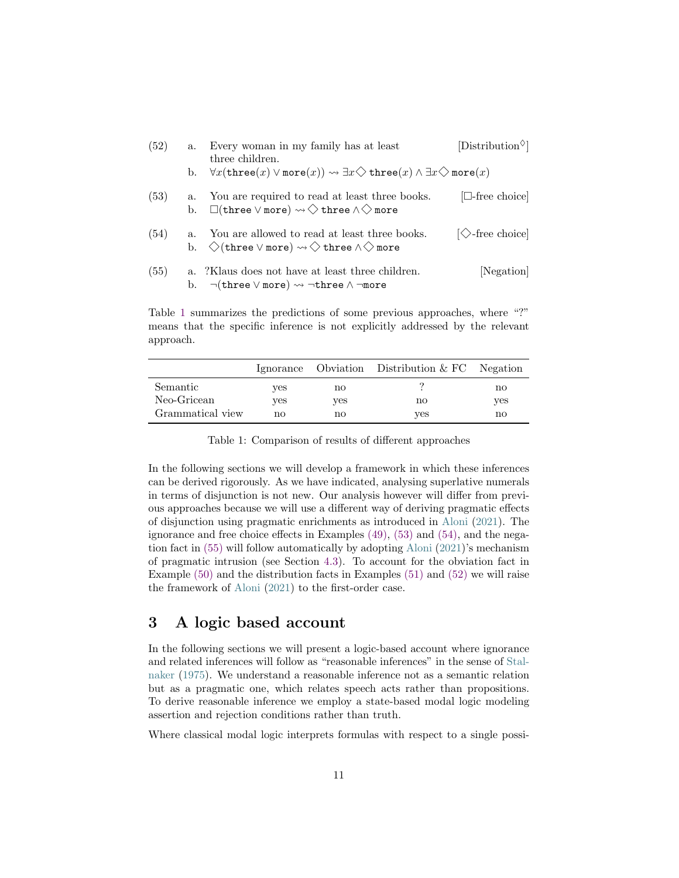<span id="page-10-5"></span><span id="page-10-4"></span><span id="page-10-3"></span>

| (52) | a.          | Every woman in my family has at least<br>three children.                                                                                              | [Distribution <sup><math>\diamond</math></sup> ] |
|------|-------------|-------------------------------------------------------------------------------------------------------------------------------------------------------|--------------------------------------------------|
|      | b.          | $\forall x(\mathtt{three}(x) \vee \mathtt{more}(x)) \leadsto \exists x \diamondsuit \mathtt{three}(x) \wedge \exists x \diamondsuit \mathtt{more}(x)$ |                                                  |
| (53) | b.          | a. You are required to read at least three books.<br>$\Box$ (three $\lor$ more) $\leadsto \Diamond$ three $\land \Diamond$ more                       | $\Box$ -free choice                              |
| (54) | $a_{-}$     | You are allowed to read at least three books.<br>b. $\Diamond$ (three $\lor$ more) $\leadsto \Diamond$ three $\land \Diamond$ more                    | $\Diamond$ -free choice                          |
| (55) | $a_{\cdot}$ | ?Klaus does not have at least three children.<br>b. $\neg(\text{three} \lor \text{more}) \leadsto \neg \text{three} \land \neg \text{more})$          | Negation                                         |

<span id="page-10-0"></span>Table [1](#page-10-2) summarizes the predictions of some previous approaches, where "?" means that the specific inference is not explicitly addressed by the relevant approach.

<span id="page-10-2"></span>

|                  |     |     | Ignorance Obviation Distribution & FC Negation |     |
|------------------|-----|-----|------------------------------------------------|-----|
| Semantic         | ves | no  |                                                | no  |
| Neo-Gricean      | ves | ves | no                                             | yes |
| Grammatical view | no  | no  | ves                                            | no  |

Table 1: Comparison of results of different approaches

In the following sections we will develop a framework in which these inferences can be derived rigorously. As we have indicated, analysing superlative numerals in terms of disjunction is not new. Our analysis however will differ from previous approaches because we will use a different way of deriving pragmatic effects of disjunction using pragmatic enrichments as introduced in [Aloni](#page-29-0) [\(2021\)](#page-29-0). The ignorance and free choice effects in Examples [\(49\),](#page-9-0) [\(53\)](#page-10-3) and [\(54\),](#page-10-4) and the negation fact in [\(55\)](#page-10-0) will follow automatically by adopting [Aloni](#page-29-0) [\(2021\)](#page-29-0)'s mechanism of pragmatic intrusion (see Section [4.3\)](#page-22-0). To account for the obviation fact in Example [\(50\)](#page-9-1) and the distribution facts in Examples [\(51\)](#page-9-2) and [\(52\)](#page-9-3) we will raise the framework of [Aloni](#page-29-0) [\(2021\)](#page-29-0) to the first-order case.

# <span id="page-10-1"></span>3 A logic based account

In the following sections we will present a logic-based account where ignorance and related inferences will follow as "reasonable inferences" in the sense of [Stal](#page-32-9)[naker](#page-32-9) [\(1975\)](#page-32-9). We understand a reasonable inference not as a semantic relation but as a pragmatic one, which relates speech acts rather than propositions. To derive reasonable inference we employ a state-based modal logic modeling assertion and rejection conditions rather than truth.

Where classical modal logic interprets formulas with respect to a single possi-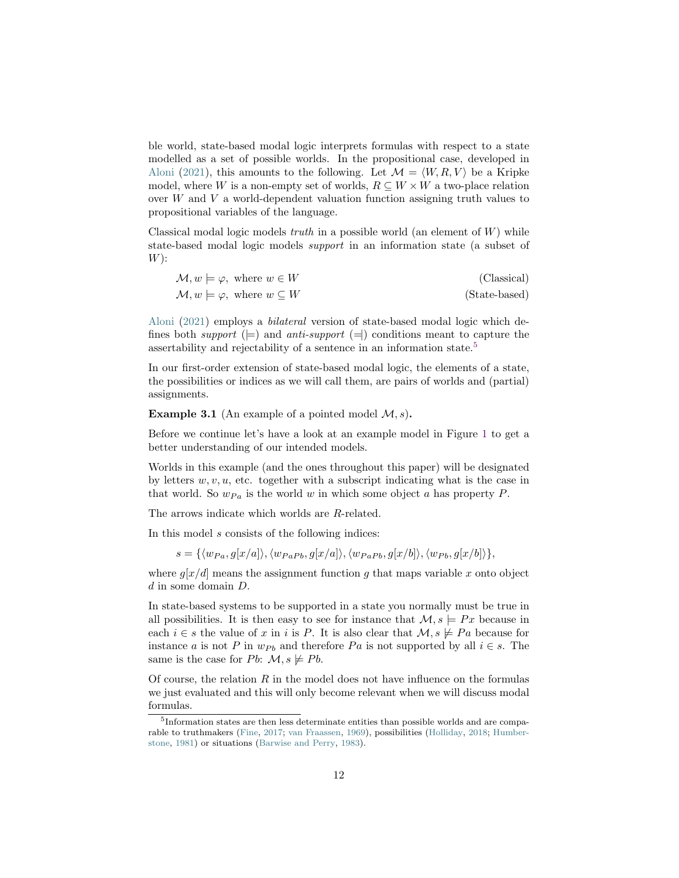<span id="page-11-1"></span>ble world, state-based modal logic interprets formulas with respect to a state modelled as a set of possible worlds. In the propositional case, developed in [Aloni](#page-29-0) [\(2021\)](#page-29-0), this amounts to the following. Let  $\mathcal{M} = \langle W, R, V \rangle$  be a Kripke model, where W is a non-empty set of worlds,  $R \subseteq W \times W$  a two-place relation over W and V a world-dependent valuation function assigning truth values to propositional variables of the language.

Classical modal logic models truth in a possible world (an element of  $W$ ) while state-based modal logic models support in an information state (a subset of  $W)$ :

| $\mathcal{M}, w \models \varphi, \text{ where } w \in W$ | (Classical)   |
|----------------------------------------------------------|---------------|
| $\mathcal{M}, w \models \varphi$ , where $w \subseteq W$ | (State-based) |

[Aloni](#page-29-0) [\(2021\)](#page-29-0) employs a bilateral version of state-based modal logic which defines both *support*  $(\models)$  and *anti-support*  $(\models)$  conditions meant to capture the assertability and rejectability of a sentence in an information state.[5](#page-11-0)

In our first-order extension of state-based modal logic, the elements of a state, the possibilities or indices as we will call them, are pairs of worlds and (partial) assignments.

**Example 3.1** (An example of a pointed model  $\mathcal{M}, s$ ).

Before we continue let's have a look at an example model in Figure [1](#page-12-0) to get a better understanding of our intended models.

Worlds in this example (and the ones throughout this paper) will be designated by letters  $w, v, u$ , etc. together with a subscript indicating what is the case in that world. So  $w_{Pa}$  is the world w in which some object a has property P.

The arrows indicate which worlds are R-related.

In this model s consists of the following indices:

 $s = \{\langle w_{Pa}, g[x/a] \rangle, \langle w_{PaPb}, g[x/a] \rangle, \langle w_{PaPb}, g[x/b] \rangle, \langle w_{Pb}, g[x/b] \rangle\},\$ 

where  $g[x/d]$  means the assignment function g that maps variable x onto object d in some domain D.

In state-based systems to be supported in a state you normally must be true in all possibilities. It is then easy to see for instance that  $\mathcal{M}, s \models Px$  because in each  $i \in s$  the value of x in i is P. It is also clear that  $\mathcal{M}, s \not\models Pa$  because for instance a is not P in  $w_{Pb}$  and therefore Pa is not supported by all  $i \in s$ . The same is the case for Pb:  $\mathcal{M}, s \not\models P b$ .

Of course, the relation  $R$  in the model does not have influence on the formulas we just evaluated and this will only become relevant when we will discuss modal formulas.

<span id="page-11-0"></span><sup>&</sup>lt;sup>5</sup>Information states are then less determinate entities than possible worlds and are comparable to truthmakers [\(Fine,](#page-31-7) [2017;](#page-31-7) [van Fraassen,](#page-33-2) [1969\)](#page-33-2), possibilities [\(Holliday,](#page-31-8) [2018;](#page-31-8) [Humber](#page-31-9)[stone,](#page-31-9) [1981\)](#page-31-9) or situations [\(Barwise and Perry,](#page-29-5) [1983\)](#page-29-5).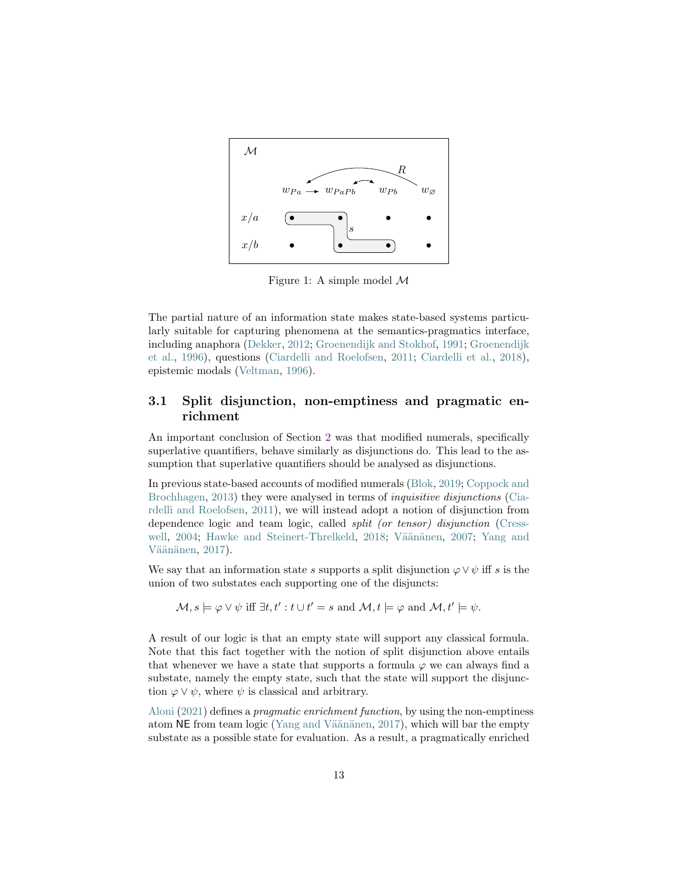<span id="page-12-1"></span><span id="page-12-0"></span>

Figure 1: A simple model  $\mathcal M$ 

The partial nature of an information state makes state-based systems particularly suitable for capturing phenomena at the semantics-pragmatics interface, including anaphora [\(Dekker,](#page-30-4) [2012;](#page-30-4) [Groenendijk and Stokhof,](#page-31-10) [1991;](#page-31-10) [Groenendijk](#page-31-11) [et al.,](#page-31-11) [1996\)](#page-31-11), questions [\(Ciardelli and Roelofsen,](#page-30-5) [2011;](#page-30-5) [Ciardelli et al.,](#page-30-6) [2018\)](#page-30-6), epistemic modals [\(Veltman,](#page-33-3) [1996\)](#page-33-3).

### 3.1 Split disjunction, non-emptiness and pragmatic enrichment

An important conclusion of Section [2](#page-2-1) was that modified numerals, specifically superlative quantifiers, behave similarly as disjunctions do. This lead to the assumption that superlative quantifiers should be analysed as disjunctions.

In previous state-based accounts of modified numerals [\(Blok,](#page-29-1) [2019;](#page-29-1) [Coppock and](#page-30-7) [Brochhagen,](#page-30-7) [2013\)](#page-30-7) they were analysed in terms of inquisitive disjunctions [\(Cia](#page-30-5)[rdelli and Roelofsen,](#page-30-5) [2011\)](#page-30-5), we will instead adopt a notion of disjunction from dependence logic and team logic, called split (or tensor) disjunction [\(Cress](#page-30-8)[well,](#page-30-8) [2004;](#page-30-8) [Hawke and Steinert-Threlkeld,](#page-31-12) [2018;](#page-31-12) Väänänen, [2007;](#page-33-4) [Yang and](#page-33-5) Väänänen, [2017\)](#page-33-5).

We say that an information state s supports a split disjunction  $\varphi \vee \psi$  iff s is the union of two substates each supporting one of the disjuncts:

 $\mathcal{M}, s \models \varphi \lor \psi \text{ iff } \exists t, t' : t \cup t' = s \text{ and } \mathcal{M}, t \models \varphi \text{ and } \mathcal{M}, t' \models \psi.$ 

A result of our logic is that an empty state will support any classical formula. Note that this fact together with the notion of split disjunction above entails that whenever we have a state that supports a formula  $\varphi$  we can always find a substate, namely the empty state, such that the state will support the disjunction  $\varphi \vee \psi$ , where  $\psi$  is classical and arbitrary.

[Aloni](#page-29-0) [\(2021\)](#page-29-0) defines a pragmatic enrichment function, by using the non-emptiness atom NE from team logic (Yang and Väänänen, [2017\)](#page-33-5), which will bar the empty substate as a possible state for evaluation. As a result, a pragmatically enriched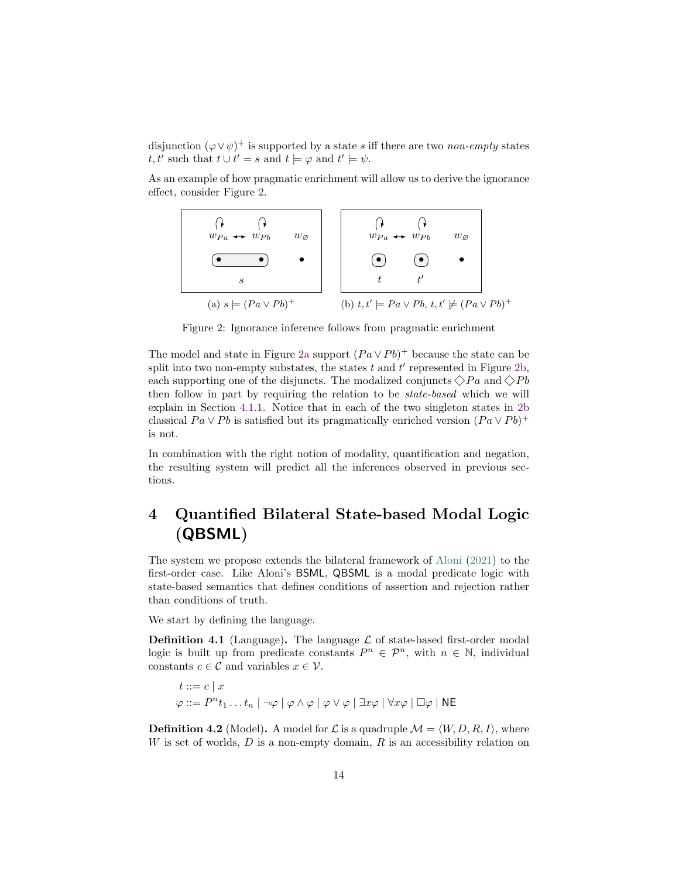<span id="page-13-2"></span>disjunction  $(\varphi \vee \psi)^+$  is supported by a state s iff there are two non-empty states t, t' such that  $t \cup t' = s$  and  $t \models \varphi$  and  $t' \models \psi$ .

As an example of how pragmatic enrichment will allow us to derive the ignorance effect, consider Figure [2.](#page-13-1)

<span id="page-13-1"></span>

Figure 2: Ignorance inference follows from pragmatic enrichment

The model and state in Figure [2a](#page-13-1) support  $(Pa \vee Pb)^+$  because the state can be split into two non-empty substates, the states  $t$  and  $t'$  represented in Figure [2b,](#page-13-1) each supporting one of the disjuncts. The modalized conjuncts  $\Diamond Pa$  and  $\Diamond Pb$ then follow in part by requiring the relation to be state-based which we will explain in Section [4.1.1.](#page-19-0) Notice that in each of the two singleton states in [2b](#page-13-1) classical  $Pa \vee Pb$  is satisfied but its pragmatically enriched version  $(Pa \vee Pb)^+$ is not.

In combination with the right notion of modality, quantification and negation, the resulting system will predict all the inferences observed in previous sections.

# <span id="page-13-0"></span>4 Quantified Bilateral State-based Modal Logic (QBSML)

The system we propose extends the bilateral framework of [Aloni](#page-29-0) [\(2021\)](#page-29-0) to the first-order case. Like Aloni's BSML, QBSML is a modal predicate logic with state-based semantics that defines conditions of assertion and rejection rather than conditions of truth.

We start by defining the language.

**Definition 4.1** (Language). The language  $\mathcal{L}$  of state-based first-order modal logic is built up from predicate constants  $P^n \in \mathcal{P}^n$ , with  $n \in \mathbb{N}$ , individual constants  $c \in \mathcal{C}$  and variables  $x \in \mathcal{V}$ .

$$
t ::= c | x
$$
  

$$
\varphi ::= P^n t_1 \dots t_n | \neg \varphi | \varphi \land \varphi | \varphi \lor \varphi | \exists x \varphi | \forall x \varphi | \Box \varphi | \mathsf{NE}
$$

**Definition 4.2** (Model). A model for  $\mathcal{L}$  is a quadruple  $\mathcal{M} = \langle W, D, R, I \rangle$ , where W is set of worlds,  $D$  is a non-empty domain,  $R$  is an accessibility relation on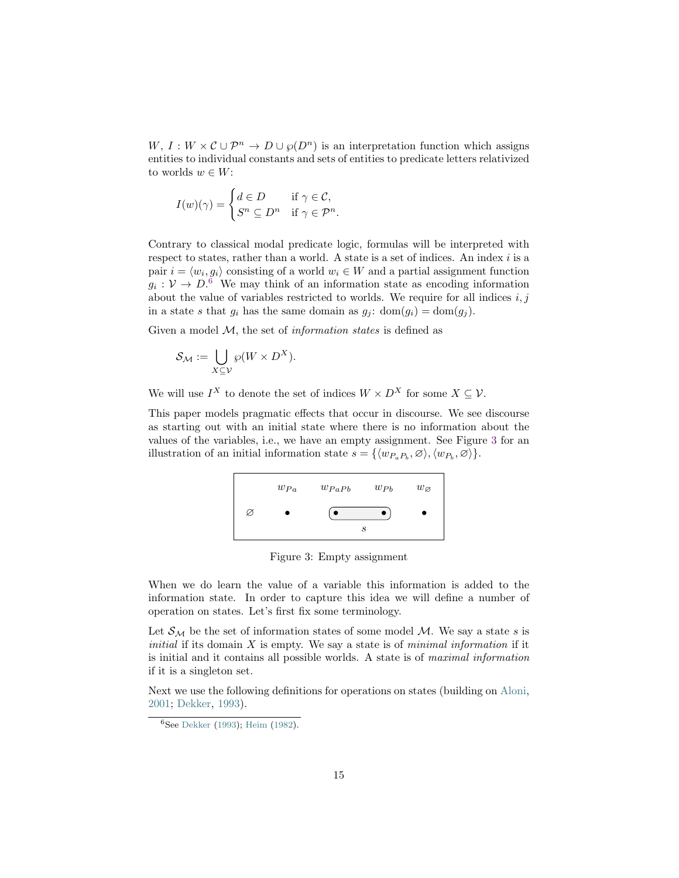<span id="page-14-2"></span> $W, I: W \times C \cup \mathcal{P}^n \to D \cup \wp(D^n)$  is an interpretation function which assigns entities to individual constants and sets of entities to predicate letters relativized to worlds  $w \in W$ :

$$
I(w)(\gamma) = \begin{cases} d \in D & \text{if } \gamma \in \mathcal{C}, \\ S^n \subseteq D^n & \text{if } \gamma \in \mathcal{P}^n. \end{cases}
$$

Contrary to classical modal predicate logic, formulas will be interpreted with respect to states, rather than a world. A state is a set of indices. An index  $i$  is a pair  $i = \langle w_i, g_i \rangle$  consisting of a world  $w_i \in W$  and a partial assignment function  $g_i: \mathcal{V} \to D$ <sup>[6](#page-14-0)</sup> We may think of an information state as encoding information about the value of variables restricted to worlds. We require for all indices  $i, j$ in a state s that  $g_i$  has the same domain as  $g_j$ : dom $(g_i) = \text{dom}(g_j)$ .

Given a model  $M$ , the set of *information states* is defined as

$$
\mathcal{S}_{\mathcal{M}} := \bigcup_{X \subseteq \mathcal{V}} \wp(W \times D^X).
$$

We will use  $I^X$  to denote the set of indices  $W \times D^X$  for some  $X \subseteq V$ .

<span id="page-14-1"></span>This paper models pragmatic effects that occur in discourse. We see discourse as starting out with an initial state where there is no information about the values of the variables, i.e., we have an empty assignment. See Figure [3](#page-14-1) for an illustration of an initial information state  $s = \{ \langle w_{P_a P_b}, \varnothing \rangle, \langle w_{P_b}, \varnothing \rangle \}.$ 



Figure 3: Empty assignment

When we do learn the value of a variable this information is added to the information state. In order to capture this idea we will define a number of operation on states. Let's first fix some terminology.

Let  $\mathcal{S}_{\mathcal{M}}$  be the set of information states of some model M. We say a state s is *initial* if its domain  $X$  is empty. We say a state is of *minimal information* if it is initial and it contains all possible worlds. A state is of maximal information if it is a singleton set.

Next we use the following definitions for operations on states (building on [Aloni,](#page-29-6) [2001;](#page-29-6) [Dekker,](#page-30-9) [1993\)](#page-30-9).

<span id="page-14-0"></span><sup>6</sup>See [Dekker](#page-30-9) [\(1993\)](#page-30-9); [Heim](#page-31-13) [\(1982\)](#page-31-13).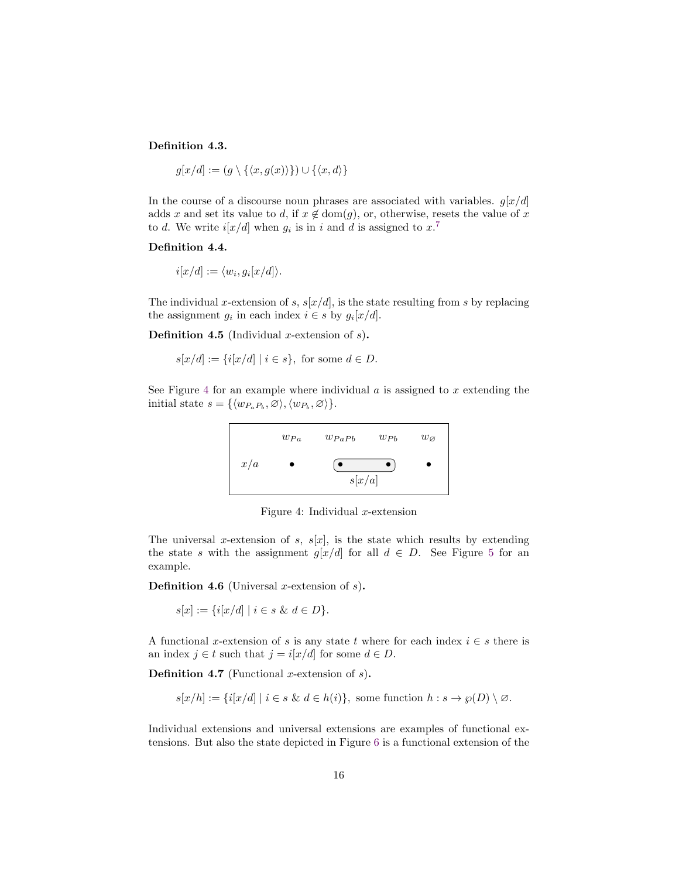### Definition 4.3.

$$
g[x/d] := (g \setminus \{\langle x, g(x)\rangle\}) \cup \{\langle x, d\rangle\}
$$

In the course of a discourse noun phrases are associated with variables.  $g[x/d]$ adds x and set its value to d, if  $x \notin \text{dom}(g)$ , or, otherwise, resets the value of x to d. We write  $i[x/d]$  when  $g_i$  is in i and d is assigned to  $x$ .<sup>[7](#page-16-0)</sup>

#### Definition 4.4.

$$
i[x/d] := \langle w_i, g_i[x/d] \rangle.
$$

The individual x-extension of s,  $s[x/d]$ , is the state resulting from s by replacing the assignment  $g_i$  in each index  $i \in s$  by  $g_i[x/d]$ .

**Definition 4.5** (Individual x-extension of  $s$ ).

$$
s[x/d] := \{i[x/d] \mid i \in s\},\text{ for some } d \in D.
$$

<span id="page-15-0"></span>See Figure [4](#page-15-0) for an example where individual  $a$  is assigned to  $x$  extending the initial state  $s = \{ \langle w_{P_a P_b}, \varnothing \rangle, \langle w_{P_b}, \varnothing \rangle \}.$ 



Figure 4: Individual  $x$ -extension

The universal x-extension of s,  $s[x]$ , is the state which results by extending the state s with the assignment g[x/d] for all  $d \in D$ . See Figure [5](#page-16-1) for an example.

**Definition 4.6** (Universal x-extension of  $s$ ).

$$
s[x] := \{ i[x/d] \mid i \in s \& d \in D \}.
$$

A functional x-extension of s is any state t where for each index  $i \in s$  there is an index  $j \in t$  such that  $j = i[x/d]$  for some  $d \in D$ .

**Definition 4.7** (Functional x-extension of  $s$ ).

$$
s[x/h] := \{i[x/d] \mid i \in s \& d \in h(i)\}, \text{ some function } h : s \to \wp(D) \setminus \varnothing.
$$

Individual extensions and universal extensions are examples of functional extensions. But also the state depicted in Figure [6](#page-16-2) is a functional extension of the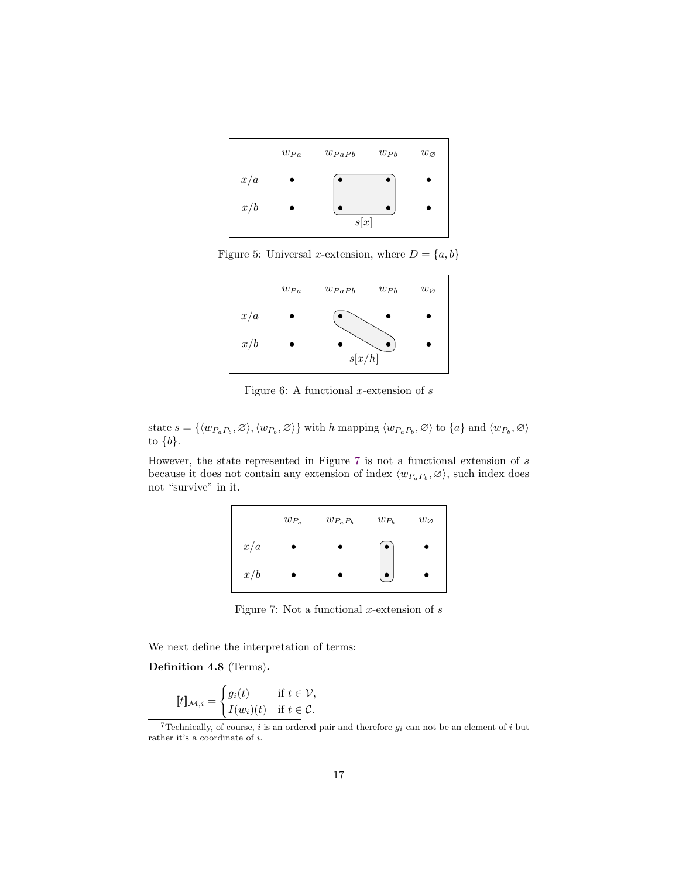<span id="page-16-1"></span>

<span id="page-16-2"></span>Figure 5: Universal x-extension, where  $D = \{a, b\}$ 



Figure 6: A functional  $x$ -extension of  $s$ 

state  $s = \{\langle w_{P_a P_b}, \varnothing \rangle, \langle w_{P_b}, \varnothing \rangle\}$  with h mapping  $\langle w_{P_a P_b}, \varnothing \rangle$  to  $\{a\}$  and  $\langle w_{P_b}, \varnothing \rangle$ to  $\{b\}.$ 

<span id="page-16-3"></span>However, the state represented in Figure [7](#page-16-3) is not a functional extension of  $s$ because it does not contain any extension of index  $\langle w_{P_aP_b}, \varnothing \rangle$ , such index does not "survive" in it.



Figure 7: Not a functional  $x$ -extension of  $s$ 

We next define the interpretation of terms:

Definition 4.8 (Terms).

$$
[\![t]\!]_{\mathcal{M},i} = \begin{cases} g_i(t) & \text{if } t \in \mathcal{V}, \\ I(w_i)(t) & \text{if } t \in \mathcal{C}. \end{cases}
$$

<span id="page-16-0"></span><sup>&</sup>lt;sup>7</sup>Technically, of course, *i* is an ordered pair and therefore  $g_i$  can not be an element of *i* but rather it's a coordinate of  $i.$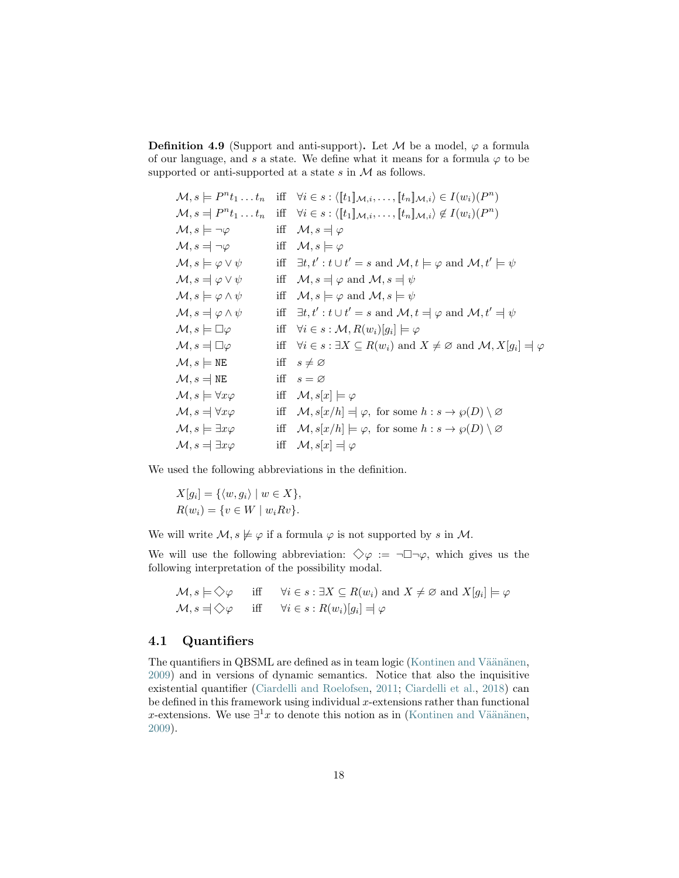<span id="page-17-0"></span>**Definition 4.9** (Support and anti-support). Let M be a model,  $\varphi$  a formula of our language, and s a state. We define what it means for a formula  $\varphi$  to be supported or anti-supported at a state  $s$  in  $M$  as follows.

$$
\mathcal{M}, s \models P^{n}t_{1}...t_{n} \text{ iff } \forall i \in s : \langle [t_{1}]_{\mathcal{M},i},..., [t_{n}]_{\mathcal{M},i} \rangle \in I(w_{i})(P^{n})
$$
\n
$$
\mathcal{M}, s \models P^{n}t_{1}...t_{n} \text{ iff } \forall i \in s : \langle [t_{1}]_{\mathcal{M},i},..., [t_{n}]_{\mathcal{M},i} \rangle \notin I(w_{i})(P^{n})
$$
\n
$$
\mathcal{M}, s \models \varphi \text{ iff } \mathcal{M}, s \models \varphi
$$
\n
$$
\mathcal{M}, s \models \varphi \lor \psi \text{ iff } \exists t, t': t \cup t' = s \text{ and } \mathcal{M}, t \models \varphi \text{ and } \mathcal{M}, t' \models \psi
$$
\n
$$
\mathcal{M}, s \models \varphi \lor \psi \text{ iff } \mathcal{M}, s \models \varphi \text{ and } \mathcal{M}, s \models \psi
$$
\n
$$
\mathcal{M}, s \models \varphi \land \psi \text{ iff } \mathcal{M}, s \models \varphi \text{ and } \mathcal{M}, s \models \psi
$$
\n
$$
\mathcal{M}, s \models \varphi \land \psi \text{ iff } \exists t, t': t \cup t' = s \text{ and } \mathcal{M}, t \models \varphi \text{ and } \mathcal{M}, t' \models \psi
$$
\n
$$
\mathcal{M}, s \models \Box \varphi \text{ iff } \forall i \in s : \mathcal{M}, R(w_{i})[g_{i}] \models \varphi
$$
\n
$$
\mathcal{M}, s \models \Box \varphi \text{ iff } \forall i \in s : \exists X \subseteq R(w_{i}) \text{ and } X \neq \varnothing \text{ and } \mathcal{M}, X[g_{i}] = \varphi
$$
\n
$$
\mathcal{M}, s \models \text{NE} \text{ iff } s \neq \varnothing
$$
\n
$$
\mathcal{M}, s \models \text{WE} \text{ iff } \mathcal{M}, s[x] \models \varphi
$$
\n
$$
\mathcal{M}, s \models \forall x \varphi \text{ iff } \mathcal{M}, s[x] \models \varphi
$$
\n
$$
\mathcal{M}, s \models \forall x \varphi \text{ iff } \mathcal{M
$$

We used the following abbreviations in the definition.

$$
X[g_i] = \{ \langle w, g_i \rangle \mid w \in X \},
$$
  

$$
R(w_i) = \{ v \in W \mid w_i R v \}.
$$

We will write  $\mathcal{M}, s \not\models \varphi$  if a formula  $\varphi$  is not supported by s in  $\mathcal{M}$ .

We will use the following abbreviation:  $\Diamond \varphi := \neg \Box \neg \varphi$ , which gives us the following interpretation of the possibility modal.

$$
\mathcal{M}, s \models \Diamond \varphi \quad \text{iff} \quad \forall i \in s : \exists X \subseteq R(w_i) \text{ and } X \neq \varnothing \text{ and } X[g_i] \models \varphi \n\mathcal{M}, s = \Diamond \varphi \quad \text{iff} \quad \forall i \in s : R(w_i)[g_i] = \varphi
$$

### 4.1 Quantifiers

The quantifiers in QBSML are defined as in team logic (Kontinen and Väänänen, [2009\)](#page-32-10) and in versions of dynamic semantics. Notice that also the inquisitive existential quantifier [\(Ciardelli and Roelofsen,](#page-30-5) [2011;](#page-30-5) [Ciardelli et al.,](#page-30-6) [2018\)](#page-30-6) can be defined in this framework using individual  $x$ -extensions rather than functional x-extensions. We use  $\exists^1 x$  to denote this notion as in (Kontinen and Väänänen, [2009\)](#page-32-10).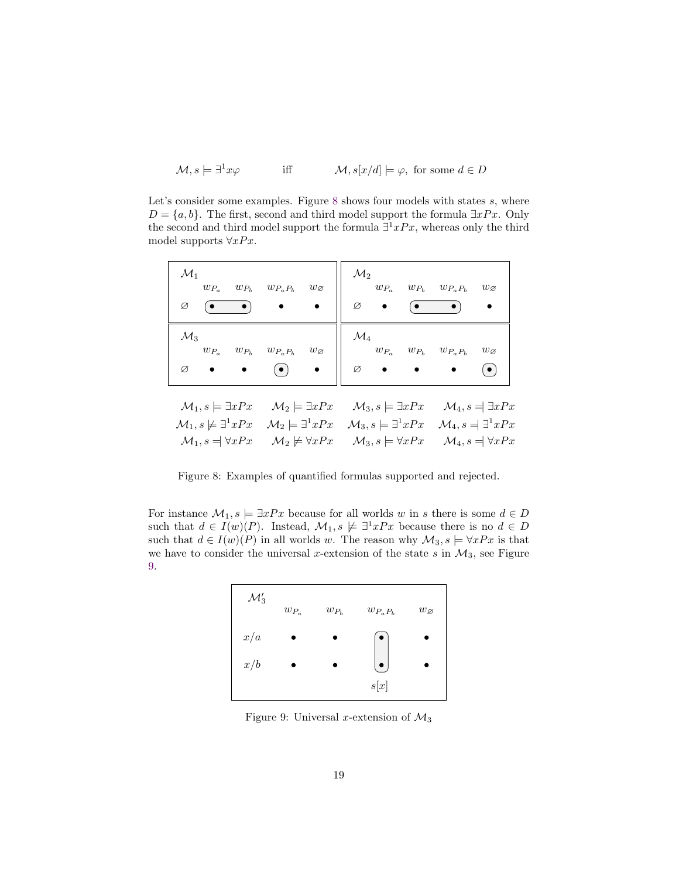$$
\mathcal{M}, s \models \exists^1 x \varphi \qquad \text{iff} \qquad \mathcal{M}, s[x/d] \models \varphi, \text{ for some } d \in D
$$

Let's consider some examples. Figure [8](#page-18-0) shows four models with states s, where  $D = \{a, b\}$ . The first, second and third model support the formula  $\exists x Px$ . Only the second and third model support the formula  $\exists^1 x Px$ , whereas only the third model supports  $\forall x Px$ .

<span id="page-18-0"></span>

| $\mathcal{M}_1$<br>$w_{P_a}$<br>$w_{P_b}$<br>Ø<br>$\bullet$                                                                                                              | $w_{P_a P_b}$<br>$w_{\varnothing}$                                               | $\mathcal{M}_2$<br>$w_{P_a} \quad w_{P_b} \quad w_{P_a P_b}$<br>Ø                                                               | $w_{\varnothing}$<br>$\bullet$                                                                                      |
|--------------------------------------------------------------------------------------------------------------------------------------------------------------------------|----------------------------------------------------------------------------------|---------------------------------------------------------------------------------------------------------------------------------|---------------------------------------------------------------------------------------------------------------------|
| $\mathcal{M}_3$<br>$w_{P_a}$<br>$w_{P_b}$<br>Ø                                                                                                                           | $w_{P_aP_b}$<br>$w_{\varnothing}$<br>$\left( \bullet \right)$                    | $\mathcal{M}_4$<br>$w_{P_a} \quad \, w_{P_b} \quad \, w_{P_a P_b}$<br>$\varnothing$                                             | $w_{\varnothing}$<br>$(\,\bullet\,)$                                                                                |
| $\mathcal{M}_1, s \models \exists x Px$<br>$\mathcal{M}_1, s \not\models \exists^1 x Px \quad \mathcal{M}_2 \models \exists^1 x Px$<br>$\mathcal{M}_1, s = \forall x Px$ | $\mathcal{M}_2 \models \exists x Px$<br>$\mathcal{M}_2 \not\models \forall x Px$ | $\mathcal{M}_3, s \models \exists x Px$<br>$\mathcal{M}_3, s \models \exists^1 x Px$<br>$\mathcal{M}_3, s \models \forall x Px$ | $\mathcal{M}_4$ , $s = \exists x Px$<br>$\mathcal{M}_4, s = \exists^1 x Px$<br>$\mathcal{M}_4$ , $s = \forall x Px$ |

Figure 8: Examples of quantified formulas supported and rejected.

<span id="page-18-1"></span>For instance  $\mathcal{M}_1, s \models \exists x Px$  because for all worlds w in s there is some  $d \in D$ such that  $d \in I(w)(P)$ . Instead,  $\mathcal{M}_1, s \not\models \exists^1 xPx$  because there is no  $d \in D$ such that  $d \in I(w)(P)$  in all worlds w. The reason why  $\mathcal{M}_3$ ,  $s \models \forall x Px$  is that we have to consider the universal x-extension of the state s in  $\mathcal{M}_3$ , see Figure [9.](#page-18-1)



Figure 9: Universal x-extension of  $\mathcal{M}_3$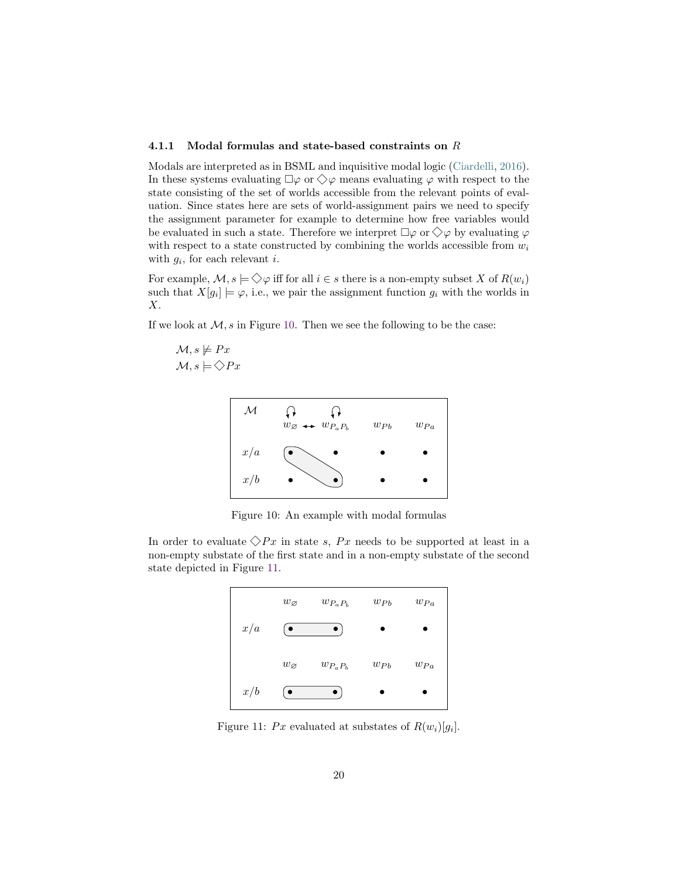#### <span id="page-19-3"></span><span id="page-19-0"></span>4.1.1 Modal formulas and state-based constraints on R

Modals are interpreted as in BSML and inquisitive modal logic [\(Ciardelli,](#page-30-10) [2016\)](#page-30-10). In these systems evaluating  $\Box \varphi$  or  $\Diamond \varphi$  means evaluating  $\varphi$  with respect to the state consisting of the set of worlds accessible from the relevant points of evaluation. Since states here are sets of world-assignment pairs we need to specify the assignment parameter for example to determine how free variables would be evaluated in such a state. Therefore we interpret  $\Box \varphi$  or  $\diamondsuit \varphi$  by evaluating  $\varphi$ with respect to a state constructed by combining the worlds accessible from  $w_i$ with  $g_i$ , for each relevant i.

For example,  $\mathcal{M}, s \models \Diamond \varphi$  iff for all  $i \in s$  there is a non-empty subset X of  $R(w_i)$ such that  $X[g_i] \models \varphi$ , i.e., we pair the assignment function  $g_i$  with the worlds in X.

If we look at  $M$ , s in Figure [10.](#page-19-1) Then we see the following to be the case:

<span id="page-19-1"></span>
$$
\mathcal{M}, s \not\models Px \mathcal{M}, s \models \diamondsuit Px
$$



Figure 10: An example with modal formulas

<span id="page-19-2"></span>In order to evaluate  $\Diamond Px$  in state s, Px needs to be supported at least in a non-empty substate of the first state and in a non-empty substate of the second state depicted in Figure [11.](#page-19-2)



Figure 11: Px evaluated at substates of  $R(w_i)[g_i]$ .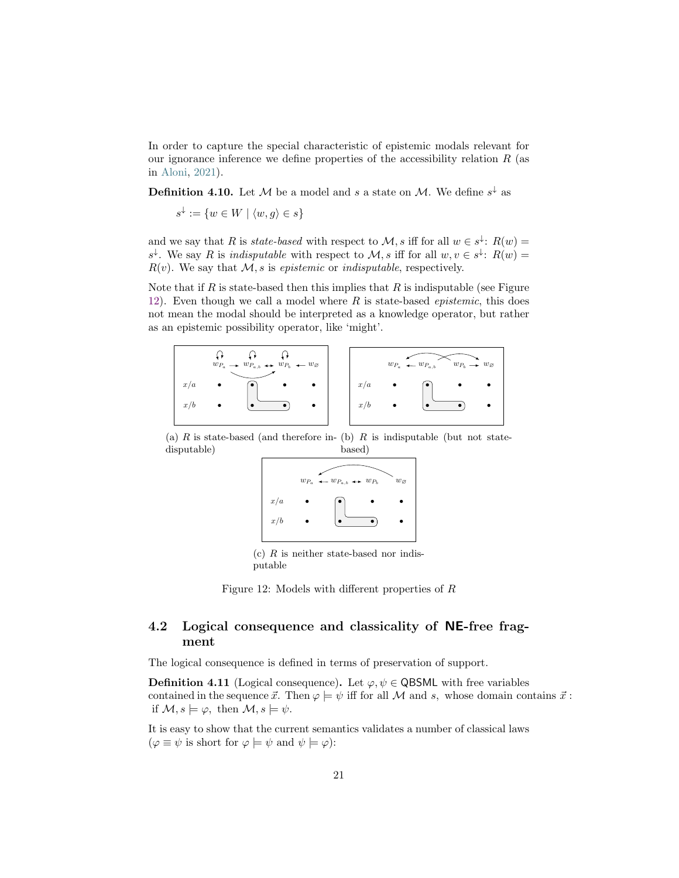<span id="page-20-1"></span>In order to capture the special characteristic of epistemic modals relevant for our ignorance inference we define properties of the accessibility relation  $R$  (as in [Aloni,](#page-29-0) [2021\)](#page-29-0).

**Definition 4.10.** Let M be a model and s a state on M. We define  $s^{\downarrow}$  as

$$
s^{\downarrow} := \{ w \in W \mid \langle w, g \rangle \in s \}
$$

and we say that R is *state-based* with respect to  $\mathcal{M}, s$  iff for all  $w \in s^{\downarrow}$ :  $R(w)$  =  $s^{\downarrow}$ . We say R is *indisputable* with respect to M, s iff for all  $w, v \in s^{\downarrow}$ :  $R(w)$  =  $R(v)$ . We say that M, s is epistemic or indisputable, respectively.

Note that if  $R$  is state-based then this implies that  $R$  is indisputable (see Figure [12\)](#page-20-0). Even though we call a model where R is state-based *epistemic*, this does not mean the modal should be interpreted as a knowledge operator, but rather as an epistemic possibility operator, like 'might'.

<span id="page-20-0"></span>

(a)  $R$  is state-based (and therefore in- (b)  $R$  is indisputable (but not statedisputable) based)



(c)  $R$  is neither state-based nor indisputable

Figure 12: Models with different properties of  $R$ 

# 4.2 Logical consequence and classicality of NE-free fragment

The logical consequence is defined in terms of preservation of support.

**Definition 4.11** (Logical consequence). Let  $\varphi, \psi \in \mathsf{QBSML}$  with free variables contained in the sequence  $\vec{x}$ . Then  $\varphi \models \psi$  iff for all M and s, whose domain contains  $\vec{x}$ : if  $\mathcal{M}, s \models \varphi$ , then  $\mathcal{M}, s \models \psi$ .

It is easy to show that the current semantics validates a number of classical laws  $(\varphi \equiv \psi \text{ is short for } \varphi \models \psi \text{ and } \psi \models \varphi)$ :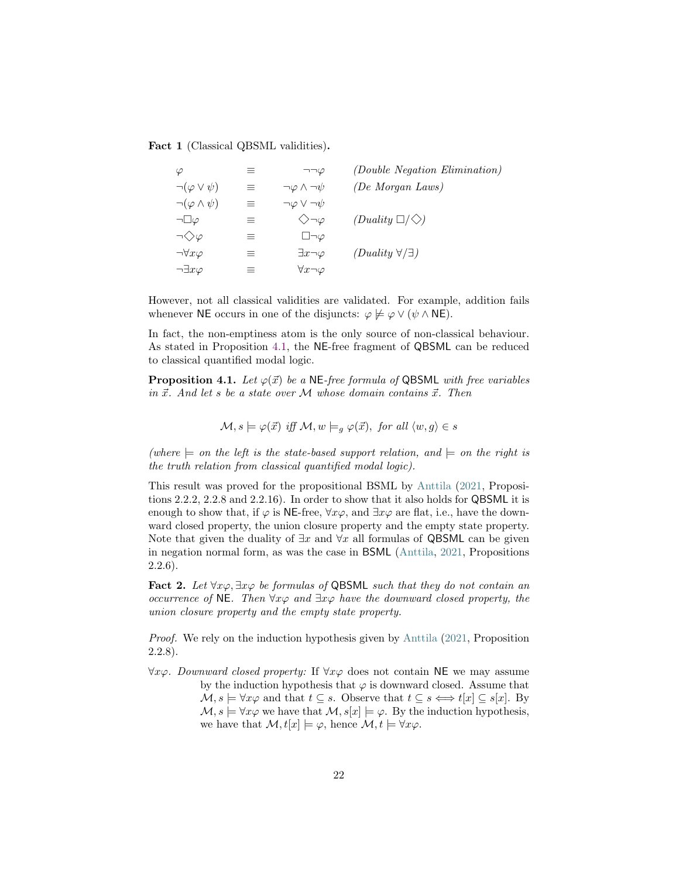<span id="page-21-1"></span>Fact 1 (Classical QBSML validities).

| $\varphi$                   | ≡        | $\neg\neg\varphi$               | <i>(Double Negation Elimination)</i> |
|-----------------------------|----------|---------------------------------|--------------------------------------|
| $\neg(\varphi \vee \psi)$   | $\equiv$ | $\neg \varphi \wedge \neg \psi$ | (De Morgan Laws)                     |
| $\neg(\varphi \wedge \psi)$ | $\equiv$ | $\neg \varphi \vee \neg \psi$   |                                      |
| $\neg\Box\varphi$           | 三        | $\diamondsuit \neg \varphi$     | $(Duality \Box / \Diamond)$          |
| $\neg \diamondsuit \varphi$ | $\equiv$ | $\Box\neg\varphi$               |                                      |
| $\neg\forall x \varphi$     | $\equiv$ | $\exists x \neg \varphi$        | $(Duality \forall/\exists)$          |
| $\neg \exists x \varphi$    | $\equiv$ | $\forall x \neg \varphi$        |                                      |

However, not all classical validities are validated. For example, addition fails whenever NE occurs in one of the disjuncts:  $\varphi \not\models \varphi \vee (\psi \wedge \mathsf{NE}).$ 

In fact, the non-emptiness atom is the only source of non-classical behaviour. As stated in Proposition [4.1,](#page-21-0) the NE-free fragment of QBSML can be reduced to classical quantified modal logic.

<span id="page-21-0"></span>**Proposition 4.1.** Let  $\varphi(\vec{x})$  be a NE-free formula of QBSML with free variables in  $\vec{x}$ . And let s be a state over M whose domain contains  $\vec{x}$ . Then

$$
\mathcal{M}, s \models \varphi(\vec{x}) \text{ iff } \mathcal{M}, w \models_g \varphi(\vec{x}), \text{ for all } \langle w, g \rangle \in s
$$

(where  $\models$  on the left is the state-based support relation, and  $\models$  on the right is the truth relation from classical quantified modal logic).

This result was proved for the propositional BSML by [Anttila](#page-29-7) [\(2021,](#page-29-7) Propositions 2.2.2, 2.2.8 and 2.2.16). In order to show that it also holds for QBSML it is enough to show that, if  $\varphi$  is NE-free,  $\forall x \varphi$ , and  $\exists x \varphi$  are flat, i.e., have the downward closed property, the union closure property and the empty state property. Note that given the duality of  $\exists x$  and  $\forall x$  all formulas of QBSML can be given in negation normal form, as was the case in BSML [\(Anttila,](#page-29-7) [2021,](#page-29-7) Propositions 2.2.6).

Fact 2. Let  $\forall x \varphi$ ,  $\exists x \varphi$  be formulas of QBSML such that they do not contain an occurrence of NE. Then  $\forall x \varphi$  and  $\exists x \varphi$  have the downward closed property, the union closure property and the empty state property.

Proof. We rely on the induction hypothesis given by [Anttila](#page-29-7) [\(2021,](#page-29-7) Proposition 2.2.8).

 $\forall x \varphi$ . Downward closed property: If  $\forall x \varphi$  does not contain NE we may assume by the induction hypothesis that  $\varphi$  is downward closed. Assume that  $\mathcal{M}, s \models \forall x \varphi$  and that  $t \subseteq s$ . Observe that  $t \subseteq s \Longleftrightarrow t[x] \subseteq s[x]$ . By  $\mathcal{M}, s \models \forall x \varphi$  we have that  $\mathcal{M}, s[x] \models \varphi$ . By the induction hypothesis, we have that  $\mathcal{M}, t[x] \models \varphi$ , hence  $\mathcal{M}, t \models \forall x \varphi$ .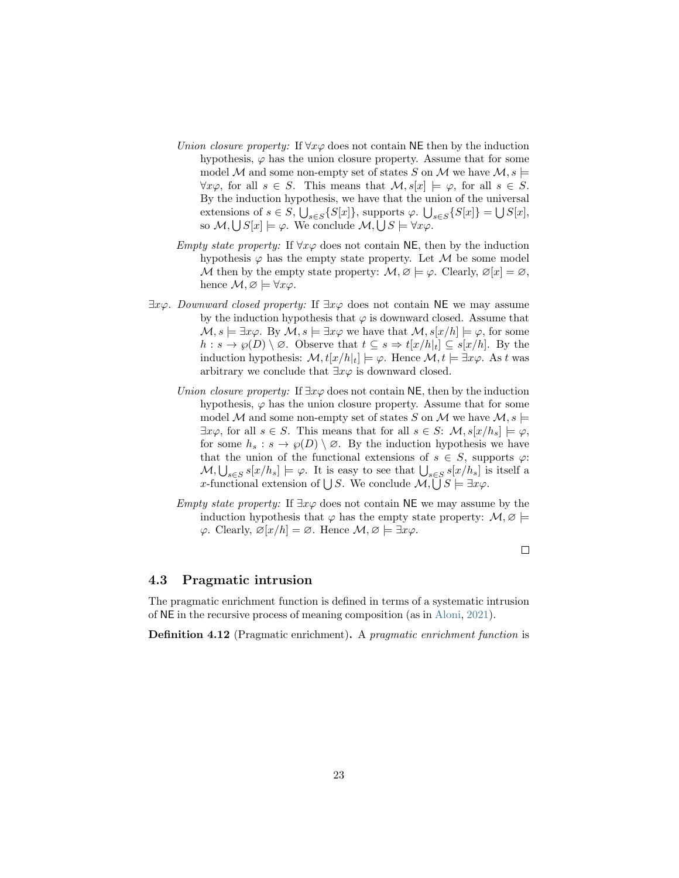- <span id="page-22-1"></span>Union closure property: If  $\forall x \varphi$  does not contain NE then by the induction hypothesis,  $\varphi$  has the union closure property. Assume that for some model M and some non-empty set of states S on M we have  $\mathcal{M}, s \models$  $\forall x \varphi$ , for all  $s \in S$ . This means that  $\mathcal{M}, s[x] \models \varphi$ , for all  $s \in S$ . By the induction hypothesis, we have that the union of the universal extensions of  $s \in S$ ,  $\bigcup_{s \in S} \{S[x]\}$ , supports  $\varphi$ .  $\bigcup_{s \in S} \{S[x]\} = \bigcup S[x]$ , so  $\mathcal{M}, \bigcup S[x] \models \varphi$ . We conclude  $\mathcal{M}, \bigcup S \models \forall x \varphi$ .
- Empty state property: If  $\forall x \varphi$  does not contain NE, then by the induction hypothesis  $\varphi$  has the empty state property. Let M be some model M then by the empty state property:  $\mathcal{M}, \varnothing \models \varphi$ . Clearly,  $\varnothing[x] = \varnothing$ , hence  $\mathcal{M}, \varnothing \models \forall x \varphi$ .
- $\exists x \varphi$ . Downward closed property: If  $\exists x \varphi$  does not contain NE we may assume by the induction hypothesis that  $\varphi$  is downward closed. Assume that  $\mathcal{M}, s \models \exists x \varphi$ . By  $\mathcal{M}, s \models \exists x \varphi$  we have that  $\mathcal{M}, s[x/h] \models \varphi$ , for some  $h : s \to \varphi(D) \setminus \varnothing$ . Observe that  $t \subseteq s \Rightarrow t[x/h]_t \subseteq s[x/h]$ . By the induction hypothesis:  $\mathcal{M}, t[x/h]_t \models \varphi$ . Hence  $\mathcal{M}, t \models \exists x \varphi$ . As t was arbitrary we conclude that  $\exists x \varphi$  is downward closed.
	- Union closure property: If  $\exists x \varphi$  does not contain NE, then by the induction hypothesis,  $\varphi$  has the union closure property. Assume that for some model M and some non-empty set of states S on M we have  $\mathcal{M}, s \models$  $\exists x \varphi$ , for all  $s \in S$ . This means that for all  $s \in S$ :  $\mathcal{M}, s[x/h_s] \models \varphi$ , for some  $h_s : s \to \varphi(D) \setminus \varnothing$ . By the induction hypothesis we have that the union of the functional extensions of  $s \in S$ , supports  $\varphi$ :  $\mathcal{M}, \bigcup_{s \in S} s[x/h_s] \models \varphi$ . It is easy to see that  $\bigcup_{s \in S} s[x/h_s]$  is itself a x-functional extension of  $\bigcup S$ . We conclude  $\mathcal{M}, \bigcup S \models \exists x \varphi$ .
	- Empty state property: If  $\exists x \varphi$  does not contain NE we may assume by the induction hypothesis that  $\varphi$  has the empty state property:  $\mathcal{M}, \varnothing \models$  $\varphi$ . Clearly,  $\varnothing[x/h] = \varnothing$ . Hence  $\mathcal{M}, \varnothing \models \exists x \varphi$ .

#### $\Box$

#### <span id="page-22-0"></span>4.3 Pragmatic intrusion

The pragmatic enrichment function is defined in terms of a systematic intrusion of NE in the recursive process of meaning composition (as in [Aloni,](#page-29-0) [2021\)](#page-29-0).

Definition 4.12 (Pragmatic enrichment). A pragmatic enrichment function is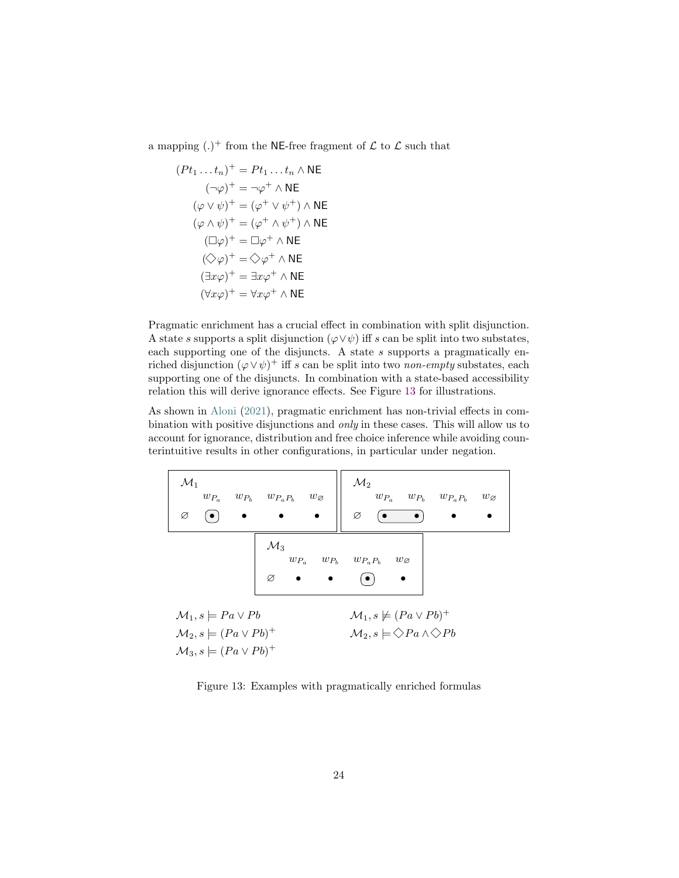<span id="page-23-1"></span>a mapping  $(.)^+$  from the NE-free fragment of  $\mathcal L$  to  $\mathcal L$  such that

$$
(Pt_1 ... t_n)^+ = Pt_1 ... t_n \wedge \text{NE}
$$
  
\n
$$
(\neg \varphi)^+ = \neg \varphi^+ \wedge \text{NE}
$$
  
\n
$$
(\varphi \vee \psi)^+ = (\varphi^+ \vee \psi^+) \wedge \text{NE}
$$
  
\n
$$
(\varphi \wedge \psi)^+ = (\varphi^+ \wedge \psi^+) \wedge \text{NE}
$$
  
\n
$$
(\Box \varphi)^+ = \Box \varphi^+ \wedge \text{NE}
$$
  
\n
$$
(\Diamond \varphi)^+ = \Diamond \varphi^+ \wedge \text{NE}
$$
  
\n
$$
(\exists x \varphi)^+ = \exists x \varphi^+ \wedge \text{NE}
$$
  
\n
$$
(\forall x \varphi)^+ = \forall x \varphi^+ \wedge \text{NE}
$$

Pragmatic enrichment has a crucial effect in combination with split disjunction. A state s supports a split disjunction  $(\varphi \lor \psi)$  iff s can be split into two substates, each supporting one of the disjuncts. A state s supports a pragmatically enriched disjunction  $(\varphi \vee \psi)^+$  iff s can be split into two non-empty substates, each supporting one of the disjuncts. In combination with a state-based accessibility relation this will derive ignorance effects. See Figure [13](#page-23-0) for illustrations.

As shown in [Aloni](#page-29-0) [\(2021\)](#page-29-0), pragmatic enrichment has non-trivial effects in combination with positive disjunctions and only in these cases. This will allow us to account for ignorance, distribution and free choice inference while avoiding counterintuitive results in other configurations, in particular under negation.

<span id="page-23-0"></span>

| $\mathcal{M}_1$<br>$w_{P_a}$<br>$w_{P_b}$ $w_{P_a P_b}$<br>$\bullet$<br>Ø                                                       | $w_{\varnothing}$                                           | $\mathcal{M}_2$<br>$w_{P_a}$ $w_{P_b}$<br>$w_{P_aP_b}$<br>$w_{\varnothing}$<br>Ø                          |
|---------------------------------------------------------------------------------------------------------------------------------|-------------------------------------------------------------|-----------------------------------------------------------------------------------------------------------|
| $\mathcal{M}_3$<br>Ø                                                                                                            | $w_{P_a} \hspace{0.5cm} w_{P_b} \hspace{0.5cm} w_{P_a P_b}$ | $w_{\varnothing}$<br>$\bullet$                                                                            |
| $\mathcal{M}_1, s \models Pa \vee Pb$<br>$\mathcal{M}_2, s \models (Pa \lor Pb)^+$<br>$\mathcal{M}_3, s \models (Pa \lor Pb)^+$ |                                                             | $\mathcal{M}_1, s \not\models (Pa \vee Pb)^+$<br>$\mathcal{M}_2, s \models \Diamond Pa \land \Diamond Pb$ |

Figure 13: Examples with pragmatically enriched formulas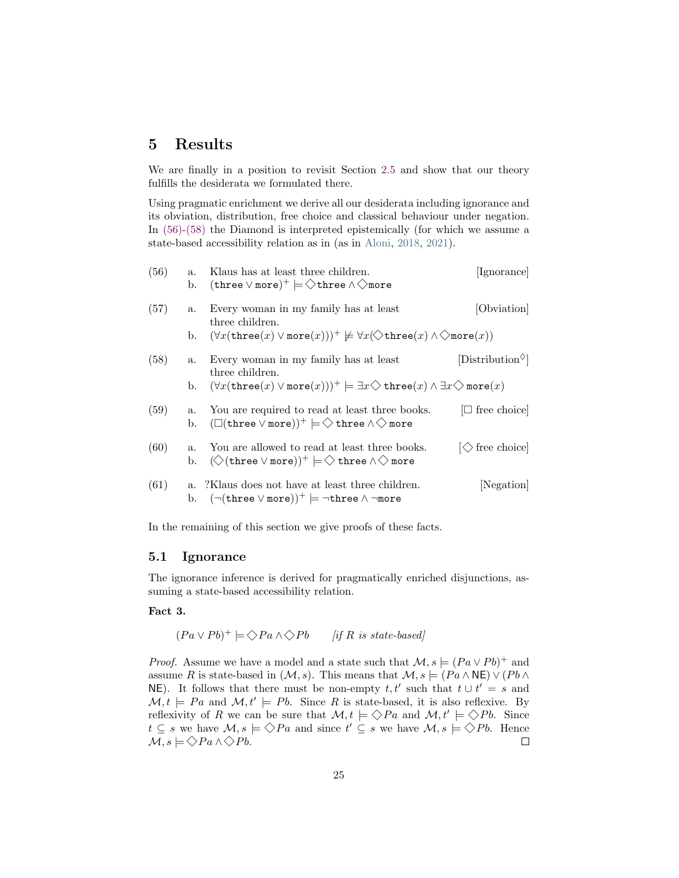# <span id="page-24-2"></span>5 Results

We are finally in a position to revisit Section [2.5](#page-9-4) and show that our theory fulfills the desiderata we formulated there.

Using pragmatic enrichment we derive all our desiderata including ignorance and its obviation, distribution, free choice and classical behaviour under negation. In [\(56\)-](#page-24-0)[\(58\)](#page-24-1) the Diamond is interpreted epistemically (for which we assume a state-based accessibility relation as in (as in [Aloni,](#page-29-8) [2018,](#page-29-8) [2021\)](#page-29-0).

<span id="page-24-1"></span><span id="page-24-0"></span>

| (56) | $a_{\cdot}$<br>b. | Klaus has at least three children.<br>$(\text{three} \vee \text{more})^+ \models \diamondsuit$ three $\wedge \diamondsuit$ more                             | [Ignorance]                  |
|------|-------------------|-------------------------------------------------------------------------------------------------------------------------------------------------------------|------------------------------|
| (57) | $a_{\cdot}$       | Every woman in my family has at least<br>three children.                                                                                                    | [Obviation]                  |
|      | b.                | $(\forall x(\texttt{three}(x) \lor \texttt{more}(x)))^+ \not\models \forall x (\diamondsuit \texttt{three}(x) \land \diamondsuit \texttt{more}(x))$         |                              |
| (58) | a.                | Every woman in my family has at least<br>three children.                                                                                                    | $[Distribution^{\diamond} ]$ |
|      | b.                | $(\forall x(\texttt{three}(x) \lor \texttt{more}(x)))^+ \models \exists x \diamondsuit \texttt{three}(x) \land \exists x \diamondsuit \texttt{more}(x)$     |                              |
| (59) | a.<br>b.          | You are required to read at least three books.<br>$(\Box(\mathtt{three} \lor \mathtt{more}))^+ \models \diamondsuit$ three $\land \diamondsuit$ more        | $\Box$ free choice           |
| (60) | $a_{\cdot}$<br>b. | You are allowed to read at least three books.<br>$(\diamondsuit$ (three $\vee$ more)) <sup>+</sup> $\models \diamondsuit$ three $\wedge \diamondsuit$ more  | $ \diamondsuit$ free choice  |
| (61) |                   | a. : Xiaus does not have at least three children.<br>b. $(\neg(\texttt{three} \lor \texttt{more}))^+ \models \neg \texttt{three} \land \neg \texttt{more})$ | Negation                     |

In the remaining of this section we give proofs of these facts.

### 5.1 Ignorance

The ignorance inference is derived for pragmatically enriched disjunctions, assuming a state-based accessibility relation.

#### Fact 3.

 $(Pa \vee Pb)^+ \models \diamondsuit Pa \wedge \diamondsuit Pb$  [if R is state-based]

*Proof.* Assume we have a model and a state such that  $\mathcal{M}, s \models (Pa \lor Pb)^+$  and assume R is state-based in  $(M, s)$ . This means that  $M, s \models (Pa \land \mathsf{NE}) \lor (Pb \land \mathsf{NE})$ NE). It follows that there must be non-empty  $t, t'$  such that  $t \cup t' = s$  and  $\mathcal{M}, t \models Pa$  and  $\mathcal{M}, t' \models Pb$ . Since R is state-based, it is also reflexive. By reflexivity of R we can be sure that  $\mathcal{M}, t \models \Diamond Pa$  and  $\mathcal{M}, t' \models \Diamond Pb$ . Since  $t \subseteq s$  we have  $\mathcal{M}, s \models \Diamond Pa$  and since  $t' \subseteq s$  we have  $\mathcal{M}, s \models \Diamond Pb$ . Hence  $\mathcal{M}, s \models \Diamond Pa \land \Diamond Pb.$  $\Box$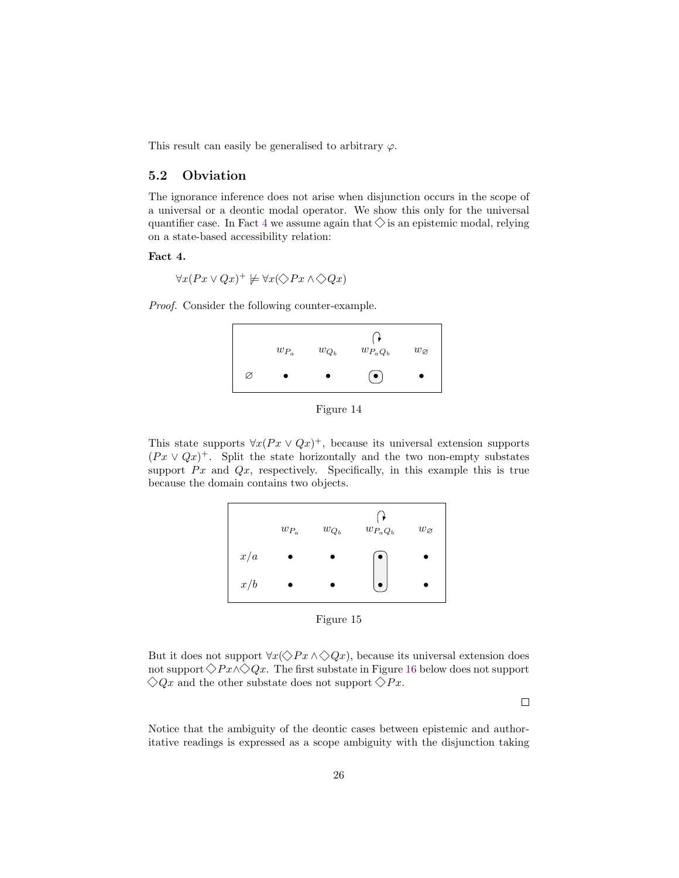This result can easily be generalised to arbitrary  $\varphi$ .

### 5.2 Obviation

The ignorance inference does not arise when disjunction occurs in the scope of a universal or a deontic modal operator. We show this only for the universal quantifier case. In Fact [4](#page-25-0) we assume again that  $\Diamond$  is an epistemic modal, relying on a state-based accessibility relation:

#### <span id="page-25-0"></span>Fact 4.

$$
\forall x (Px \lor Qx)^{+} \not\models \forall x (\Diamond Px \land \Diamond Qx)
$$

Proof. Consider the following counter-example.

|   | $w_{P_a}$ | $w_{Q_b}$ | $w_{P_aQ_b}$ | $w_{\varnothing}$ |
|---|-----------|-----------|--------------|-------------------|
| Ø |           |           | $\bullet$    |                   |

Figure 14

This state supports  $\forall x (Px \lor Qx)^{+}$ , because its universal extension supports  $(Px \vee Qx)^{+}$ . Split the state horizontally and the two non-empty substates support  $Px$  and  $Qx$ , respectively. Specifically, in this example this is true because the domain contains two objects.



Figure 15

But it does not support  $\forall x (\Diamond Px \land \Diamond Qx)$ , because its universal extension does not support  $\Diamond Px \land \Diamond Qx$ . The first substate in Figure [16](#page-26-0) below does not support  $\Diamond Qx$  and the other substate does not support  $\Diamond Px$ .

 $\Box$ 

Notice that the ambiguity of the deontic cases between epistemic and authoritative readings is expressed as a scope ambiguity with the disjunction taking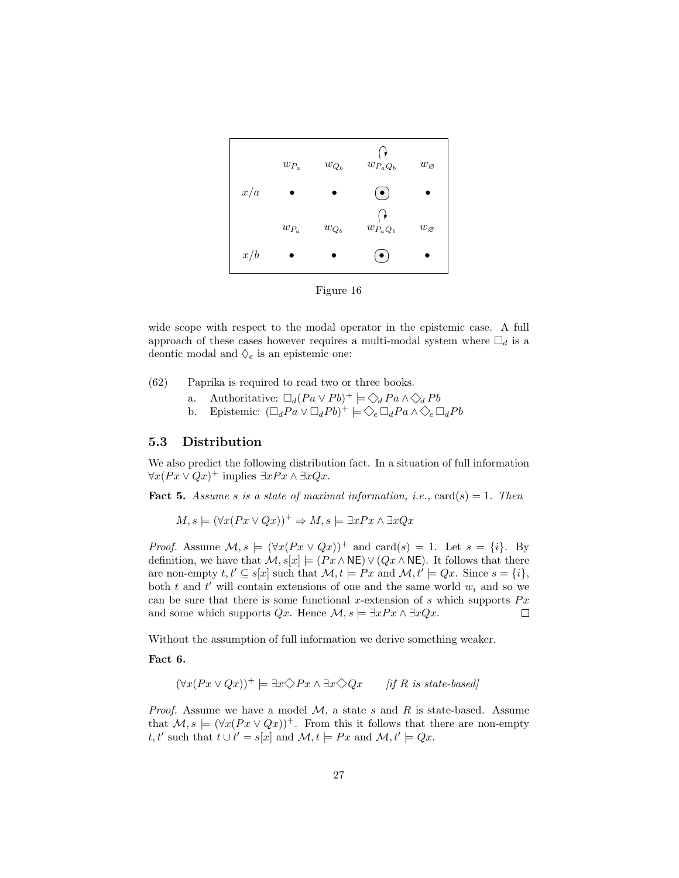<span id="page-26-0"></span>

Figure 16

wide scope with respect to the modal operator in the epistemic case. A full approach of these cases however requires a multi-modal system where  $\square_d$  is a deontic modal and  $\Diamond_e$  is an epistemic one:

- (62) Paprika is required to read two or three books.
	- a. Authoritative:  $\Box_d (Pa \lor Pb)^+ \models \bigotimes_d Pa \land \bigotimes_d Pb$
	- b. Epistemic:  $(\Box_d Pa \vee \Box_d Pb)^+ \models \Diamond_e \Box_d Pa \wedge \Diamond_e \Box_d Pb$

#### 5.3 Distribution

We also predict the following distribution fact. In a situation of full information  $\forall x (Px \lor Qx)^+ \text{ implies } \exists x Px \land \exists x Qx.$ 

**Fact 5.** Assume s is a state of maximal information, i.e.,  $\text{card}(s) = 1$ . Then

 $M, s \models (\forall x (Px \lor Qx))^+ \Rightarrow M, s \models \exists x Px \land \exists x Qx$ 

*Proof.* Assume  $\mathcal{M}, s \models (\forall x (Px \lor Qx))^+$  and card(s) = 1. Let  $s = \{i\}$ . By definition, we have that  $\mathcal{M}, s[x] \models (Px \land \mathsf{NE}) \lor (Qx \land \mathsf{NE})$ . It follows that there are non-empty  $t, t' \subseteq s[x]$  such that  $\mathcal{M}, t \models Px$  and  $\mathcal{M}, t' \models Qx$ . Since  $s = \{i\},$ both  $t$  and  $t'$  will contain extensions of one and the same world  $w_i$  and so we can be sure that there is some functional x-extension of s which supports  $Px$ and some which supports  $Qx$ . Hence  $\mathcal{M}, s \models \exists xPx \land \exists xQx$ .  $\Box$ 

Without the assumption of full information we derive something weaker.

Fact 6.

$$
(\forall x (Px \lor Qx))^+ \models \exists x \diamondsuit Px \land \exists x \diamondsuit Qx \qquad [if R \text{ is state-based}]
$$

*Proof.* Assume we have a model  $M$ , a state s and R is state-based. Assume that  $\mathcal{M}, s \models (\forall x (Px \lor Qx))^+$ . From this it follows that there are non-empty t, t' such that  $t \cup t' = s[x]$  and  $\mathcal{M}, t \models Px$  and  $\mathcal{M}, t' \models Qx$ .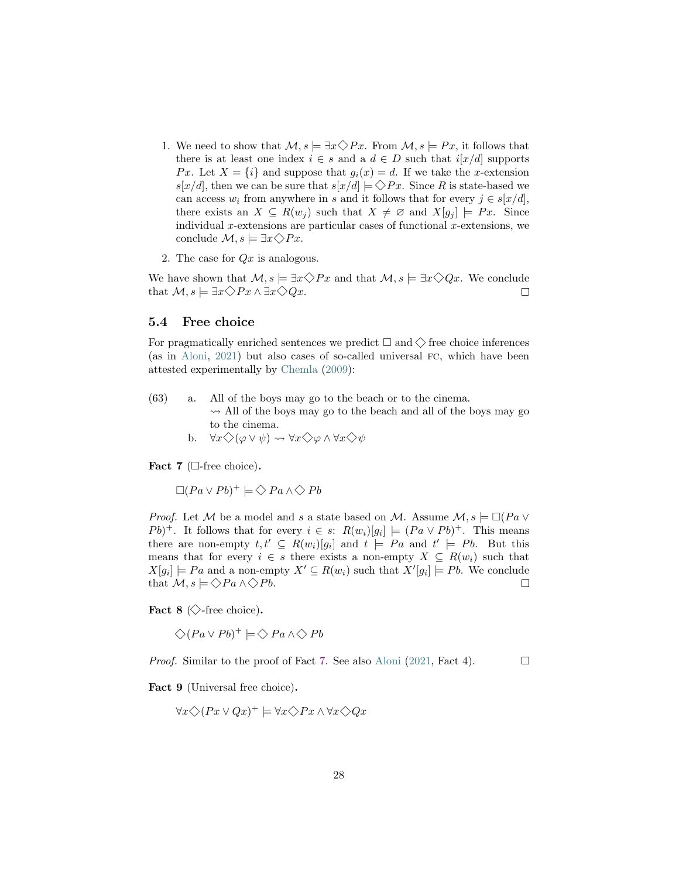- <span id="page-27-1"></span>1. We need to show that  $\mathcal{M}, s \models \exists x \Diamond Px$ . From  $\mathcal{M}, s \models Px$ , it follows that there is at least one index  $i \in s$  and a  $d \in D$  such that  $i[x/d]$  supports Px. Let  $X = \{i\}$  and suppose that  $g_i(x) = d$ . If we take the x-extension  $s[x/d]$ , then we can be sure that  $s[x/d] \models \Diamond Px$ . Since R is state-based we can access  $w_i$  from anywhere in s and it follows that for every  $j \in s[x/d]$ , there exists an  $X \subseteq R(w_i)$  such that  $X \neq \emptyset$  and  $X[g_i] \models Px$ . Since individual x-extensions are particular cases of functional x-extensions, we conclude  $\mathcal{M}, s \models \exists x \diamondsuit Px.$
- 2. The case for  $Qx$  is analogous.

We have shown that  $\mathcal{M}, s \models \exists x \diamondsuit Px$  and that  $\mathcal{M}, s \models \exists x \diamondsuit Qx$ . We conclude that  $\mathcal{M}, s \models \exists x \diamondsuit Px \land \exists x \diamondsuit Qx.$  $\Box$ 

#### 5.4 Free choice

For pragmatically enriched sentences we predict  $\Box$  and  $\diamondsuit$  free choice inferences (as in [Aloni,](#page-29-0) [2021\)](#page-29-0) but also cases of so-called universal fc, which have been attested experimentally by [Chemla](#page-29-9) [\(2009\)](#page-29-9):

(63) a. All of the boys may go to the beach or to the cinema.  $\rightsquigarrow$  All of the boys may go to the beach and all of the boys may go to the cinema. b.  $\forall x \Diamond (\varphi \lor \psi) \leadsto \forall x \Diamond \varphi \land \forall x \Diamond \psi$ 

<span id="page-27-0"></span>Fact  $7$  ( $\Box$ -free choice).

 $\Box (Pa \lor Pb)^+ \models \bigotimes Pa \land \bigotimes Pb$ 

*Proof.* Let M be a model and s a state based on M. Assume  $M, s \models \Box (Pa \vee$  $Pb$ <sup>+</sup>. It follows that for every  $i \in s$ :  $R(w_i)[g_i] \models (Pa \vee Pb)^+$ . This means there are non-empty  $t, t' \subseteq R(w_i)[g_i]$  and  $t \models Pa$  and  $t' \models Pb$ . But this means that for every  $i \in s$  there exists a non-empty  $X \subseteq R(w_i)$  such that  $X[g_i] \models Pa$  and a non-empty  $X' \subseteq R(w_i)$  such that  $X'[g_i] \models Pb$ . We conclude that  $\mathcal{M}, s \models \Diamond Pa \land \Diamond Pb.$  $\Box$ 

Fact 8  $\Diamond$ -free choice).

 $\bigcirc (Pa \vee Pb)^+ \models \bigcirc Pa \wedge \bigcirc Pb$ 

Proof. Similar to the proof of Fact [7.](#page-27-0) See also [Aloni](#page-29-0) [\(2021,](#page-29-0) Fact 4).  $\Box$ 

Fact 9 (Universal free choice).

$$
\forall x \diamondsuit (Px \vee Qx)^+ \models \forall x \diamondsuit Px \wedge \forall x \diamondsuit Qx
$$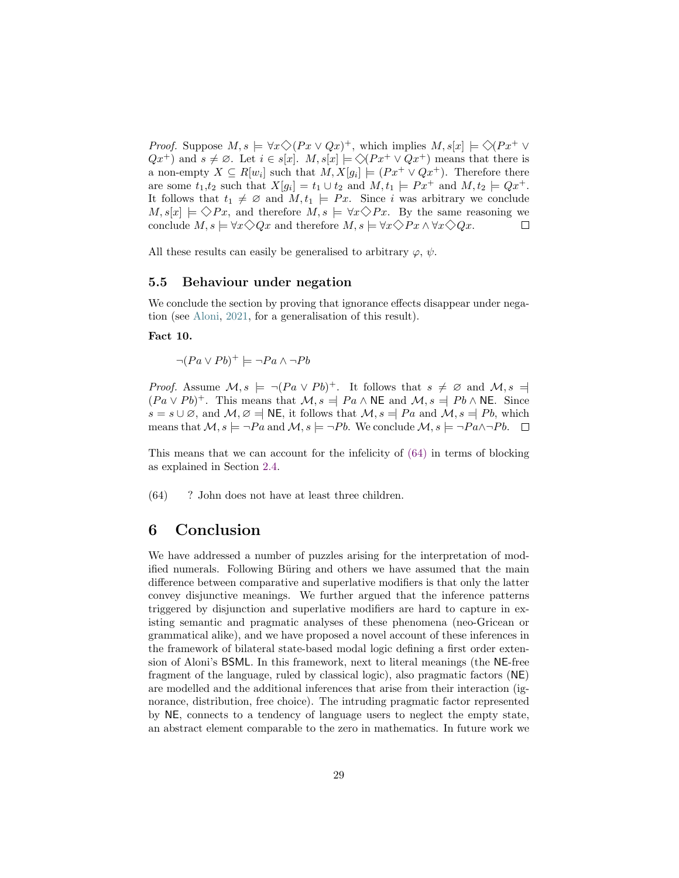<span id="page-28-1"></span>*Proof.* Suppose  $M, s \models \forall x \Diamond (Px \lor Qx)^{+}$ , which implies  $M, s[x] \models \Diamond (Px^{+} \lor Qx)^{+}$  $Qx^+$ ) and  $s \neq \emptyset$ . Let  $i \in s[x]$ .  $M, s[x] \models \Diamond (Px^+ \vee Qx^+)$  means that there is a non-empty  $X \subseteq R[w_i]$  such that  $M, X[g_i] \models (Px^+ \vee Qx^+)$ . Therefore there are some  $t_1,t_2$  such that  $X[g_i] = t_1 \cup t_2$  and  $M, t_1 \models Px^+$  and  $M, t_2 \models Qx^+$ . It follows that  $t_1 \neq \emptyset$  and  $M, t_1 \models Px$ . Since i was arbitrary we conclude  $M, s[x] \models \Diamond Px$ , and therefore  $M, s \models \forall x \Diamond Px$ . By the same reasoning we conclude  $M, s \models \forall x \Diamond Qx$  and therefore  $M, s \models \forall x \Diamond Px \land \forall x \Diamond Qx$ .  $\Box$ 

All these results can easily be generalised to arbitrary  $\varphi, \psi$ .

#### 5.5 Behaviour under negation

We conclude the section by proving that ignorance effects disappear under negation (see [Aloni,](#page-29-0) [2021,](#page-29-0) for a generalisation of this result).

Fact 10.

 $\neg (Pa \lor Pb)^+ \models \neg Pa \land \neg Pb$ 

*Proof.* Assume  $\mathcal{M}, s \models \neg (Pa \lor Pb)^+$ . It follows that  $s \neq \emptyset$  and  $\mathcal{M}, s =$  $(Pa \vee Pb)^+$ . This means that  $\mathcal{M}, s \neq Pa \wedge \mathsf{NE}$  and  $\mathcal{M}, s \neq Pb \wedge \mathsf{NE}$ . Since  $s = s \cup \emptyset$ , and  $\mathcal{M}, \emptyset = \mathsf{NE}$ , it follows that  $\mathcal{M}, s = \mathsf{Pa}$  and  $\mathcal{M}, s = \mathsf{P}_b$ , which means that  $\mathcal{M}, s \models \neg Pa$  and  $\mathcal{M}, s \models \neg Pb$ . We conclude  $\mathcal{M}, s \models \neg Pa \land \neg Pb$ .  $\Box$ 

This means that we can account for the infelicity of [\(64\)](#page-28-0) in terms of blocking as explained in Section [2.4.](#page-8-3)

<span id="page-28-0"></span>(64) ? John does not have at least three children.

# 6 Conclusion

We have addressed a number of puzzles arising for the interpretation of modified numerals. Following Büring and others we have assumed that the main difference between comparative and superlative modifiers is that only the latter convey disjunctive meanings. We further argued that the inference patterns triggered by disjunction and superlative modifiers are hard to capture in existing semantic and pragmatic analyses of these phenomena (neo-Gricean or grammatical alike), and we have proposed a novel account of these inferences in the framework of bilateral state-based modal logic defining a first order extension of Aloni's BSML. In this framework, next to literal meanings (the NE-free fragment of the language, ruled by classical logic), also pragmatic factors (NE) are modelled and the additional inferences that arise from their interaction (ignorance, distribution, free choice). The intruding pragmatic factor represented by NE, connects to a tendency of language users to neglect the empty state, an abstract element comparable to the zero in mathematics. In future work we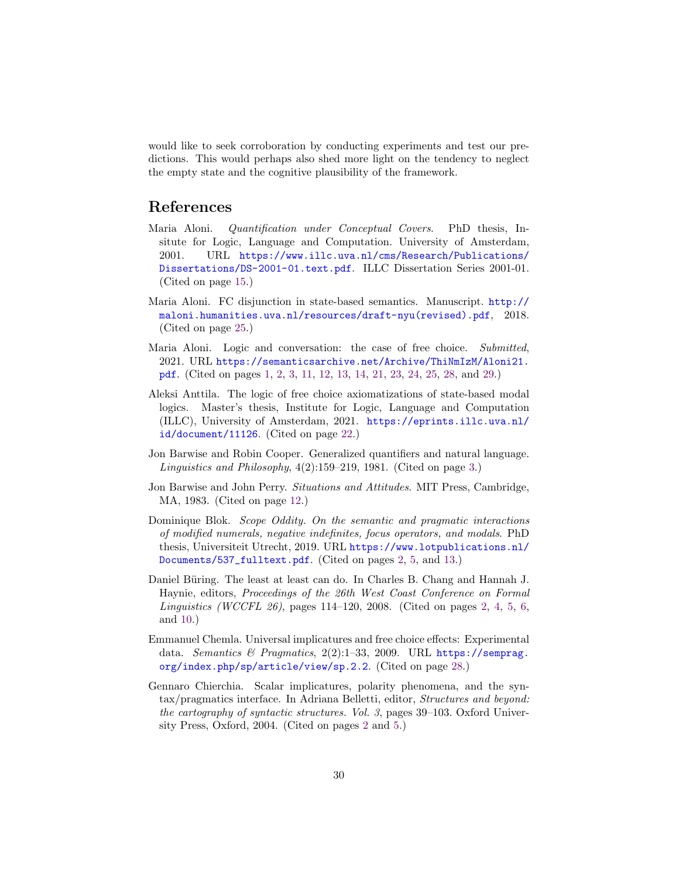would like to seek corroboration by conducting experiments and test our predictions. This would perhaps also shed more light on the tendency to neglect the empty state and the cognitive plausibility of the framework.

# References

- <span id="page-29-6"></span>Maria Aloni. Quantification under Conceptual Covers. PhD thesis, Insitute for Logic, Language and Computation. University of Amsterdam, 2001. URL [https://www.illc.uva.nl/cms/Research/Publications/](https://www.illc.uva.nl/cms/Research/Publications/Dissertations/DS-2001-01.text.pdf) [Dissertations/DS-2001-01.text.pdf](https://www.illc.uva.nl/cms/Research/Publications/Dissertations/DS-2001-01.text.pdf). ILLC Dissertation Series 2001-01. (Cited on page [15.](#page-14-2))
- <span id="page-29-8"></span>Maria Aloni. FC disjunction in state-based semantics. Manuscript. [http://](http://maloni.humanities.uva.nl/resources/draft-nyu(revised).pdf) [maloni.humanities.uva.nl/resources/draft-nyu\(revised\).pdf](http://maloni.humanities.uva.nl/resources/draft-nyu(revised).pdf), 2018. (Cited on page [25.](#page-24-2))
- <span id="page-29-0"></span>Maria Aloni. Logic and conversation: the case of free choice. Submitted, 2021. URL [https://semanticsarchive.net/Archive/ThiNmIzM/Aloni21.](https://semanticsarchive.net/Archive/ThiNmIzM/Aloni21.pdf) [pdf](https://semanticsarchive.net/Archive/ThiNmIzM/Aloni21.pdf). (Cited on pages [1,](#page-0-1) [2,](#page-1-3) [3,](#page-2-2) [11,](#page-10-5) [12,](#page-11-1) [13,](#page-12-1) [14,](#page-13-2) [21,](#page-20-1) [23,](#page-22-1) [24,](#page-23-1) [25,](#page-24-2) [28,](#page-27-1) and [29.](#page-28-1))
- <span id="page-29-7"></span>Aleksi Anttila. The logic of free choice axiomatizations of state-based modal logics. Master's thesis, Institute for Logic, Language and Computation (ILLC), University of Amsterdam, 2021. [https://eprints.illc.uva.nl/](https://eprints.illc.uva.nl/id/document/11126) [id/document/11126](https://eprints.illc.uva.nl/id/document/11126). (Cited on page [22.](#page-21-1))
- <span id="page-29-4"></span>Jon Barwise and Robin Cooper. Generalized quantifiers and natural language. *Linguistics and Philosophy*,  $4(2):159-219$ , 1981. (Cited on page [3.](#page-2-2))
- <span id="page-29-5"></span>Jon Barwise and John Perry. Situations and Attitudes. MIT Press, Cambridge, MA, 1983. (Cited on page [12.](#page-11-1))
- <span id="page-29-1"></span>Dominique Blok. Scope Oddity. On the semantic and pragmatic interactions of modified numerals, negative indefinites, focus operators, and modals. PhD thesis, Universiteit Utrecht, 2019. URL [https://www.lotpublications.nl/](https://www.lotpublications.nl/Documents/537_fulltext.pdf) [Documents/537\\_fulltext.pdf](https://www.lotpublications.nl/Documents/537_fulltext.pdf). (Cited on pages [2,](#page-1-3) [5,](#page-4-0) and [13.](#page-12-1))
- <span id="page-29-2"></span>Daniel Büring. The least at least can do. In Charles B. Chang and Hannah J. Haynie, editors, Proceedings of the 26th West Coast Conference on Formal Linguistics (WCCFL 26), pages 114–120, 2008. (Cited on pages [2,](#page-1-3) [4,](#page-3-0) [5,](#page-4-0) [6,](#page-5-0) and [10.](#page-9-5))
- <span id="page-29-9"></span>Emmanuel Chemla. Universal implicatures and free choice effects: Experimental data. Semantics & Pragmatics, 2(2):1-33, 2009. URL [https://semprag.](https://semprag.org/index.php/sp/article/view/sp.2.2) [org/index.php/sp/article/view/sp.2.2](https://semprag.org/index.php/sp/article/view/sp.2.2). (Cited on page [28.](#page-27-1))
- <span id="page-29-3"></span>Gennaro Chierchia. Scalar implicatures, polarity phenomena, and the syntax/pragmatics interface. In Adriana Belletti, editor, Structures and beyond: the cartography of syntactic structures. Vol. 3, pages 39–103. Oxford University Press, Oxford, 2004. (Cited on pages [2](#page-1-3) and [5.](#page-4-0))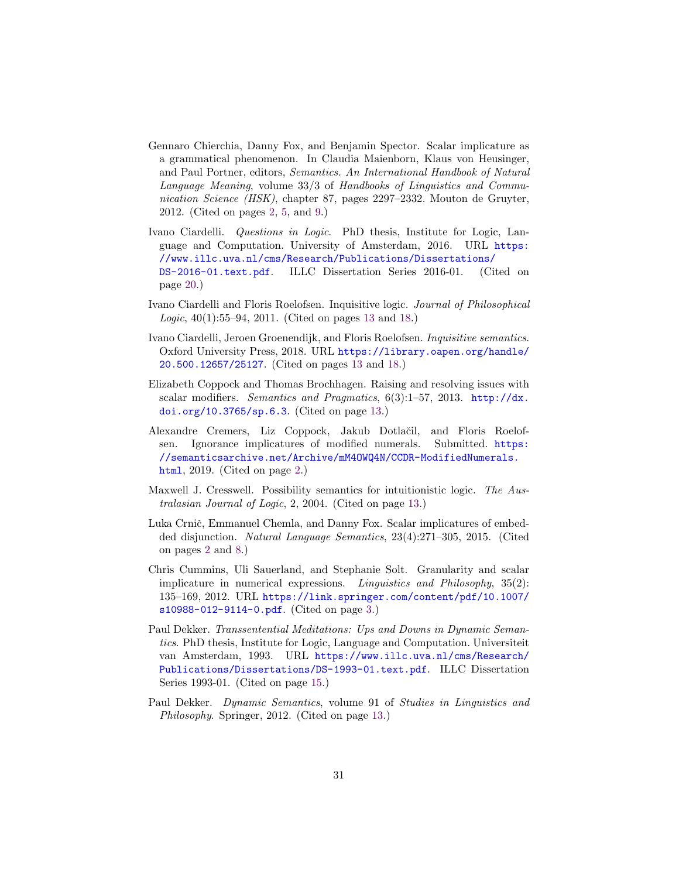- <span id="page-30-0"></span>Gennaro Chierchia, Danny Fox, and Benjamin Spector. Scalar implicature as a grammatical phenomenon. In Claudia Maienborn, Klaus von Heusinger, and Paul Portner, editors, Semantics. An International Handbook of Natural Language Meaning, volume 33/3 of Handbooks of Linguistics and Communication Science (HSK), chapter 87, pages 2297–2332. Mouton de Gruyter, 2012. (Cited on pages [2,](#page-1-3) [5,](#page-4-0) and [9.](#page-8-4))
- <span id="page-30-10"></span>Ivano Ciardelli. Questions in Logic. PhD thesis, Institute for Logic, Language and Computation. University of Amsterdam, 2016. URL [https:](https://www.illc.uva.nl/cms/Research/Publications/Dissertations/DS-2016-01.text.pdf) [//www.illc.uva.nl/cms/Research/Publications/Dissertations/](https://www.illc.uva.nl/cms/Research/Publications/Dissertations/DS-2016-01.text.pdf) [DS-2016-01.text.pdf](https://www.illc.uva.nl/cms/Research/Publications/Dissertations/DS-2016-01.text.pdf). ILLC Dissertation Series 2016-01. (Cited on page [20.](#page-19-3))
- <span id="page-30-5"></span>Ivano Ciardelli and Floris Roelofsen. Inquisitive logic. Journal of Philosophical Logic, 40(1):55–94, 2011. (Cited on pages [13](#page-12-1) and [18.](#page-17-0))
- <span id="page-30-6"></span>Ivano Ciardelli, Jeroen Groenendijk, and Floris Roelofsen. Inquisitive semantics. Oxford University Press, 2018. URL [https://library.oapen.org/handle/](https://library.oapen.org/handle/20.500.12657/25127) [20.500.12657/25127](https://library.oapen.org/handle/20.500.12657/25127). (Cited on pages [13](#page-12-1) and [18.](#page-17-0))
- <span id="page-30-7"></span>Elizabeth Coppock and Thomas Brochhagen. Raising and resolving issues with scalar modifiers. Semantics and Pragmatics, 6(3):1–57, 2013. [http://dx.](http://dx.doi.org/10.3765/sp.6.3) [doi.org/10.3765/sp.6.3](http://dx.doi.org/10.3765/sp.6.3). (Cited on page [13.](#page-12-1))
- <span id="page-30-2"></span>Alexandre Cremers, Liz Coppock, Jakub Dotlaˇcil, and Floris Roelofsen. Ignorance implicatures of modified numerals. Submitted. [https:](https://semanticsarchive.net/Archive/mM4OWQ4N/CCDR-ModifiedNumerals.html) [//semanticsarchive.net/Archive/mM4OWQ4N/CCDR-ModifiedNumerals.](https://semanticsarchive.net/Archive/mM4OWQ4N/CCDR-ModifiedNumerals.html) [html](https://semanticsarchive.net/Archive/mM4OWQ4N/CCDR-ModifiedNumerals.html), 2019. (Cited on page [2.](#page-1-3))
- <span id="page-30-8"></span>Maxwell J. Cresswell. Possibility semantics for intuitionistic logic. The Australasian Journal of Logic, 2, 2004. (Cited on page [13.](#page-12-1))
- <span id="page-30-1"></span>Luka Crnič, Emmanuel Chemla, and Danny Fox. Scalar implicatures of embedded disjunction. Natural Language Semantics, 23(4):271–305, 2015. (Cited on pages [2](#page-1-3) and [8.](#page-7-0))
- <span id="page-30-3"></span>Chris Cummins, Uli Sauerland, and Stephanie Solt. Granularity and scalar implicature in numerical expressions. Linguistics and Philosophy, 35(2): 135–169, 2012. URL [https://link.springer.com/content/pdf/10.1007/](https://link.springer.com/content/pdf/10.1007/s10988-012-9114-0.pdf) [s10988-012-9114-0.pdf](https://link.springer.com/content/pdf/10.1007/s10988-012-9114-0.pdf). (Cited on page [3.](#page-2-2))
- <span id="page-30-9"></span>Paul Dekker. Transsentential Meditations: Ups and Downs in Dynamic Semantics. PhD thesis, Institute for Logic, Language and Computation. Universiteit van Amsterdam, 1993. URL [https://www.illc.uva.nl/cms/Research/](https://www.illc.uva.nl/cms/Research/Publications/Dissertations/DS-1993-01.text.pdf) [Publications/Dissertations/DS-1993-01.text.pdf](https://www.illc.uva.nl/cms/Research/Publications/Dissertations/DS-1993-01.text.pdf). ILLC Dissertation Series 1993-01. (Cited on page [15.](#page-14-2))
- <span id="page-30-4"></span>Paul Dekker. Dynamic Semantics, volume 91 of Studies in Linguistics and Philosophy. Springer, 2012. (Cited on page [13.](#page-12-1))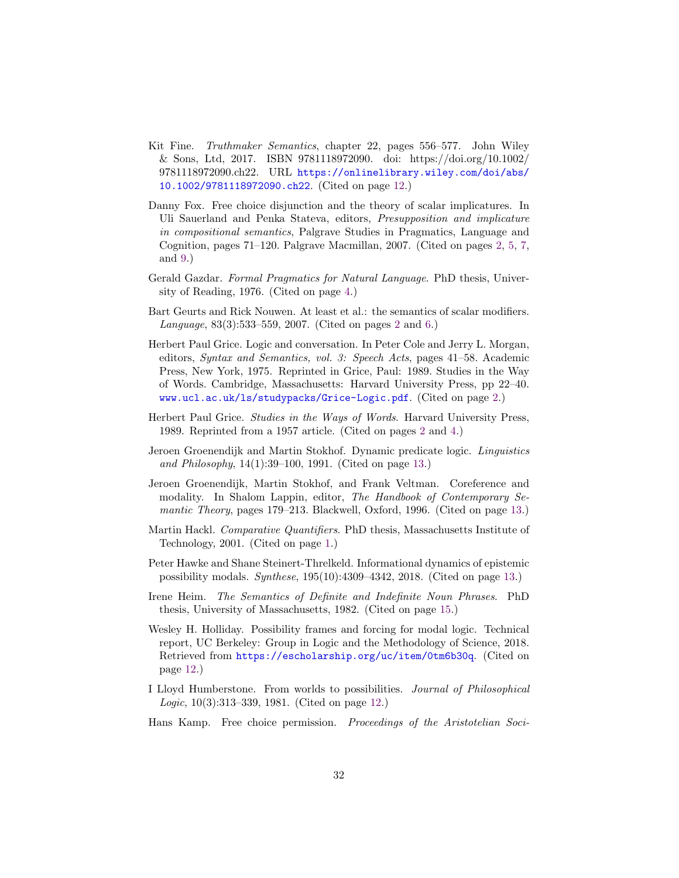- <span id="page-31-7"></span>Kit Fine. Truthmaker Semantics, chapter 22, pages 556–577. John Wiley & Sons, Ltd, 2017. ISBN 9781118972090. doi: https://doi.org/10.1002/ 9781118972090.ch22. URL [https://onlinelibrary.wiley.com/doi/abs/](https://onlinelibrary.wiley.com/doi/abs/10.1002/9781118972090.ch22) [10.1002/9781118972090.ch22](https://onlinelibrary.wiley.com/doi/abs/10.1002/9781118972090.ch22). (Cited on page [12.](#page-11-1))
- <span id="page-31-4"></span>Danny Fox. Free choice disjunction and the theory of scalar implicatures. In Uli Sauerland and Penka Stateva, editors, Presupposition and implicature in compositional semantics, Palgrave Studies in Pragmatics, Language and Cognition, pages 71–120. Palgrave Macmillan, 2007. (Cited on pages [2,](#page-1-3) [5,](#page-4-0) [7,](#page-6-0) and [9.](#page-8-4))
- <span id="page-31-6"></span>Gerald Gazdar. Formal Pragmatics for Natural Language. PhD thesis, University of Reading, 1976. (Cited on page [4.](#page-3-0))
- <span id="page-31-1"></span>Bart Geurts and Rick Nouwen. At least et al.: the semantics of scalar modifiers. Language, 83(3):533–559, 2007. (Cited on pages [2](#page-1-3) and [6.](#page-5-0))
- <span id="page-31-2"></span>Herbert Paul Grice. Logic and conversation. In Peter Cole and Jerry L. Morgan, editors, Syntax and Semantics, vol. 3: Speech Acts, pages 41–58. Academic Press, New York, 1975. Reprinted in Grice, Paul: 1989. Studies in the Way of Words. Cambridge, Massachusetts: Harvard University Press, pp 22–40. <www.ucl.ac.uk/ls/studypacks/Grice-Logic.pdf>. (Cited on page [2.](#page-1-3))
- <span id="page-31-3"></span>Herbert Paul Grice. Studies in the Ways of Words. Harvard University Press, 1989. Reprinted from a 1957 article. (Cited on pages [2](#page-1-3) and [4.](#page-3-0))
- <span id="page-31-10"></span>Jeroen Groenendijk and Martin Stokhof. Dynamic predicate logic. Linguistics and Philosophy, 14(1):39–100, 1991. (Cited on page [13.](#page-12-1))
- <span id="page-31-11"></span>Jeroen Groenendijk, Martin Stokhof, and Frank Veltman. Coreference and modality. In Shalom Lappin, editor, The Handbook of Contemporary Semantic Theory, pages 179–213. Blackwell, Oxford, 1996. (Cited on page [13.](#page-12-1))
- <span id="page-31-0"></span>Martin Hackl. Comparative Quantifiers. PhD thesis, Massachusetts Institute of Technology, 2001. (Cited on page [1.](#page-0-1))
- <span id="page-31-12"></span>Peter Hawke and Shane Steinert-Threlkeld. Informational dynamics of epistemic possibility modals. Synthese, 195(10):4309–4342, 2018. (Cited on page [13.](#page-12-1))
- <span id="page-31-13"></span>Irene Heim. The Semantics of Definite and Indefinite Noun Phrases. PhD thesis, University of Massachusetts, 1982. (Cited on page [15.](#page-14-2))
- <span id="page-31-8"></span>Wesley H. Holliday. Possibility frames and forcing for modal logic. Technical report, UC Berkeley: Group in Logic and the Methodology of Science, 2018. Retrieved from <https://escholarship.org/uc/item/0tm6b30q>. (Cited on page [12.](#page-11-1))
- <span id="page-31-9"></span>I Lloyd Humberstone. From worlds to possibilities. Journal of Philosophical Logic, 10(3):313–339, 1981. (Cited on page [12.](#page-11-1))
- <span id="page-31-5"></span>Hans Kamp. Free choice permission. Proceedings of the Aristotelian Soci-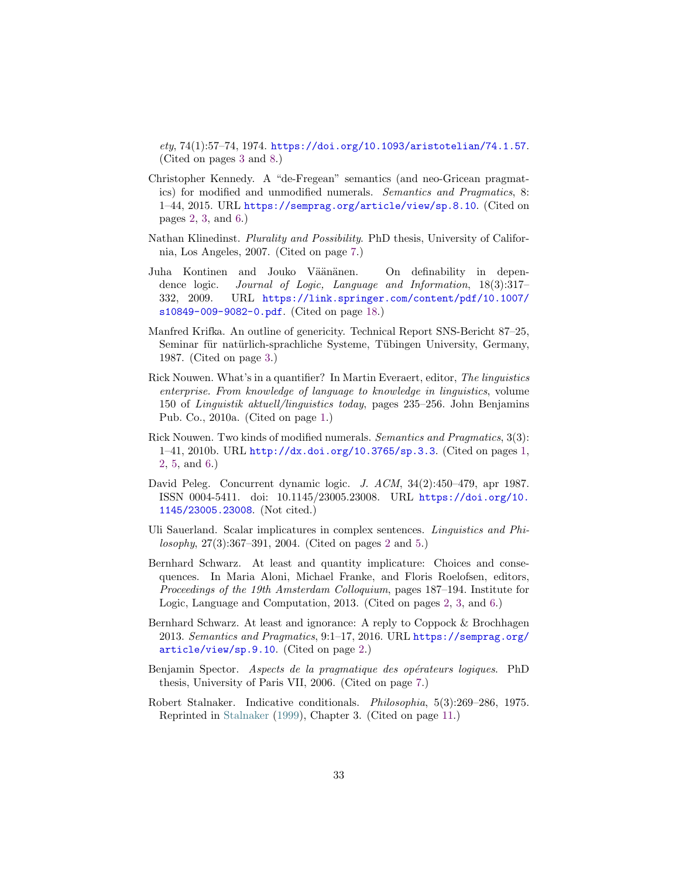<span id="page-32-11"></span> $ety, 74(1):57–74, 1974.$  <https://doi.org/10.1093/aristotelian/74.1.57>. (Cited on pages [3](#page-2-2) and [8.](#page-7-0))

- <span id="page-32-3"></span>Christopher Kennedy. A "de-Fregean" semantics (and neo-Gricean pragmatics) for modified and unmodified numerals. Semantics and Pragmatics, 8: 1–44, 2015. URL <https://semprag.org/article/view/sp.8.10>. (Cited on pages [2,](#page-1-3) [3,](#page-2-2) and [6.](#page-5-0))
- <span id="page-32-7"></span>Nathan Klinedinst. Plurality and Possibility. PhD thesis, University of California, Los Angeles, 2007. (Cited on page [7.](#page-6-0))
- <span id="page-32-10"></span>Juha Kontinen and Jouko Väänänen. On definability in dependence logic. Journal of Logic, Language and Information, 18(3):317– 332, 2009. URL [https://link.springer.com/content/pdf/10.1007/](https://link.springer.com/content/pdf/10.1007/s10849-009-9082-0.pdf) [s10849-009-9082-0.pdf](https://link.springer.com/content/pdf/10.1007/s10849-009-9082-0.pdf). (Cited on page [18.](#page-17-0))
- <span id="page-32-6"></span>Manfred Krifka. An outline of genericity. Technical Report SNS-Bericht 87–25, Seminar für natürlich-sprachliche Systeme, Tübingen University, Germany, 1987. (Cited on page [3.](#page-2-2))
- <span id="page-32-1"></span>Rick Nouwen. What's in a quantifier? In Martin Everaert, editor, The linguistics enterprise. From knowledge of language to knowledge in linguistics, volume 150 of Linguistik aktuell/linguistics today, pages 235–256. John Benjamins Pub. Co., 2010a. (Cited on page [1.](#page-0-1))
- <span id="page-32-0"></span>Rick Nouwen. Two kinds of modified numerals. Semantics and Pragmatics, 3(3): 1–41, 2010b. URL <http://dx.doi.org/10.3765/sp.3.3>. (Cited on pages [1,](#page-0-1) [2,](#page-1-3) [5,](#page-4-0) and [6.](#page-5-0))
- David Peleg. Concurrent dynamic logic. J. ACM, 34(2):450–479, apr 1987. ISSN 0004-5411. doi: 10.1145/23005.23008. URL [https://doi.org/10.](https://doi.org/10.1145/23005.23008) [1145/23005.23008](https://doi.org/10.1145/23005.23008). (Not cited.)
- <span id="page-32-2"></span>Uli Sauerland. Scalar implicatures in complex sentences. Linguistics and Philosophy, 27(3):367–391, 2004. (Cited on pages [2](#page-1-3) and [5.](#page-4-0))
- <span id="page-32-4"></span>Bernhard Schwarz. At least and quantity implicature: Choices and consequences. In Maria Aloni, Michael Franke, and Floris Roelofsen, editors, Proceedings of the 19th Amsterdam Colloquium, pages 187–194. Institute for Logic, Language and Computation, 2013. (Cited on pages [2,](#page-1-3) [3,](#page-2-2) and [6.](#page-5-0))
- <span id="page-32-5"></span>Bernhard Schwarz. At least and ignorance: A reply to Coppock & Brochhagen 2013. Semantics and Pragmatics, 9:1–17, 2016. URL [https://semprag.org/](https://semprag.org/article/view/sp.9.10) [article/view/sp.9.10](https://semprag.org/article/view/sp.9.10). (Cited on page [2.](#page-1-3))
- <span id="page-32-8"></span>Benjamin Spector. Aspects de la pragmatique des opérateurs logiques. PhD thesis, University of Paris VII, 2006. (Cited on page [7.](#page-6-0))
- <span id="page-32-9"></span>Robert Stalnaker. Indicative conditionals. Philosophia, 5(3):269–286, 1975. Reprinted in [Stalnaker](#page-33-6) [\(1999\)](#page-33-6), Chapter 3. (Cited on page [11.](#page-10-5))